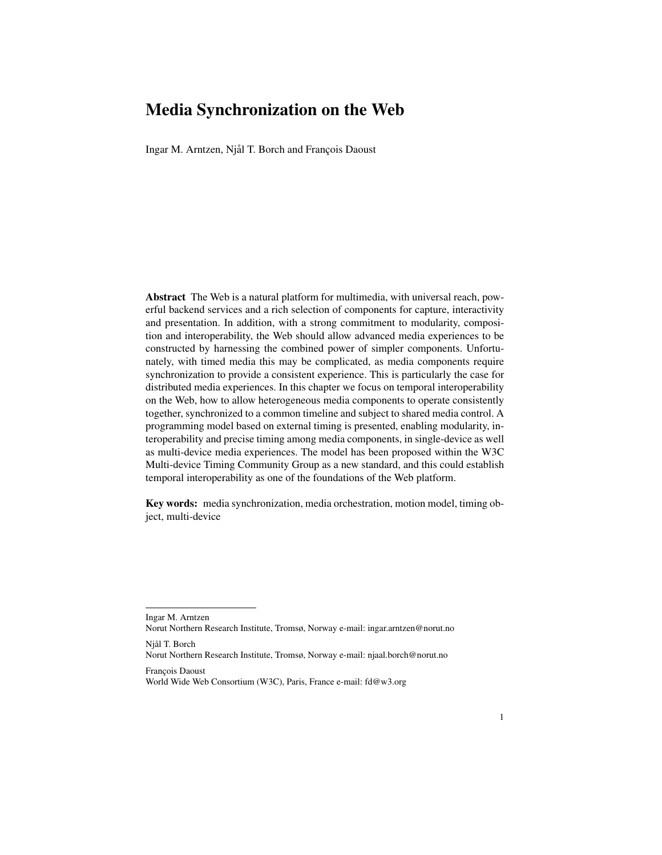Ingar M. Arntzen, Njål T. Borch and François Daoust

Abstract The Web is a natural platform for multimedia, with universal reach, powerful backend services and a rich selection of components for capture, interactivity and presentation. In addition, with a strong commitment to modularity, composition and interoperability, the Web should allow advanced media experiences to be constructed by harnessing the combined power of simpler components. Unfortunately, with timed media this may be complicated, as media components require synchronization to provide a consistent experience. This is particularly the case for distributed media experiences. In this chapter we focus on temporal interoperability on the Web, how to allow heterogeneous media components to operate consistently together, synchronized to a common timeline and subject to shared media control. A programming model based on external timing is presented, enabling modularity, interoperability and precise timing among media components, in single-device as well as multi-device media experiences. The model has been proposed within the W3C Multi-device Timing Community Group as a new standard, and this could establish temporal interoperability as one of the foundations of the Web platform.

Key words: media synchronization, media orchestration, motion model, timing object, multi-device

Niål T. Borch

Norut Northern Research Institute, Tromsø, Norway e-mail: njaal.borch@norut.no

François Daoust

Ingar M. Arntzen Norut Northern Research Institute, Tromsø, Norway e-mail: ingar.arntzen@norut.no

World Wide Web Consortium (W3C), Paris, France e-mail: fd@w3.org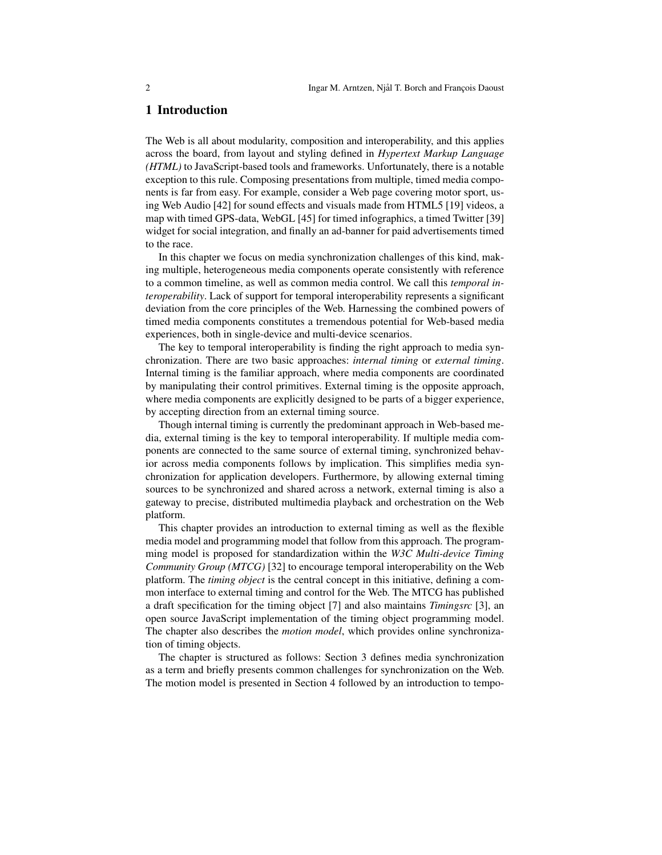# 1 Introduction

The Web is all about modularity, composition and interoperability, and this applies across the board, from layout and styling defined in *Hypertext Markup Language (HTML)* to JavaScript-based tools and frameworks. Unfortunately, there is a notable exception to this rule. Composing presentations from multiple, timed media components is far from easy. For example, consider a Web page covering motor sport, using Web Audio [42] for sound effects and visuals made from HTML5 [19] videos, a map with timed GPS-data, WebGL [45] for timed infographics, a timed Twitter [39] widget for social integration, and finally an ad-banner for paid advertisements timed to the race.

In this chapter we focus on media synchronization challenges of this kind, making multiple, heterogeneous media components operate consistently with reference to a common timeline, as well as common media control. We call this *temporal interoperability*. Lack of support for temporal interoperability represents a significant deviation from the core principles of the Web. Harnessing the combined powers of timed media components constitutes a tremendous potential for Web-based media experiences, both in single-device and multi-device scenarios.

The key to temporal interoperability is finding the right approach to media synchronization. There are two basic approaches: *internal timing* or *external timing*. Internal timing is the familiar approach, where media components are coordinated by manipulating their control primitives. External timing is the opposite approach, where media components are explicitly designed to be parts of a bigger experience, by accepting direction from an external timing source.

Though internal timing is currently the predominant approach in Web-based media, external timing is the key to temporal interoperability. If multiple media components are connected to the same source of external timing, synchronized behavior across media components follows by implication. This simplifies media synchronization for application developers. Furthermore, by allowing external timing sources to be synchronized and shared across a network, external timing is also a gateway to precise, distributed multimedia playback and orchestration on the Web platform.

This chapter provides an introduction to external timing as well as the flexible media model and programming model that follow from this approach. The programming model is proposed for standardization within the *W3C Multi-device Timing Community Group (MTCG)* [32] to encourage temporal interoperability on the Web platform. The *timing object* is the central concept in this initiative, defining a common interface to external timing and control for the Web. The MTCG has published a draft specification for the timing object [7] and also maintains *Timingsrc* [3], an open source JavaScript implementation of the timing object programming model. The chapter also describes the *motion model*, which provides online synchronization of timing objects.

The chapter is structured as follows: Section 3 defines media synchronization as a term and briefly presents common challenges for synchronization on the Web. The motion model is presented in Section 4 followed by an introduction to tempo-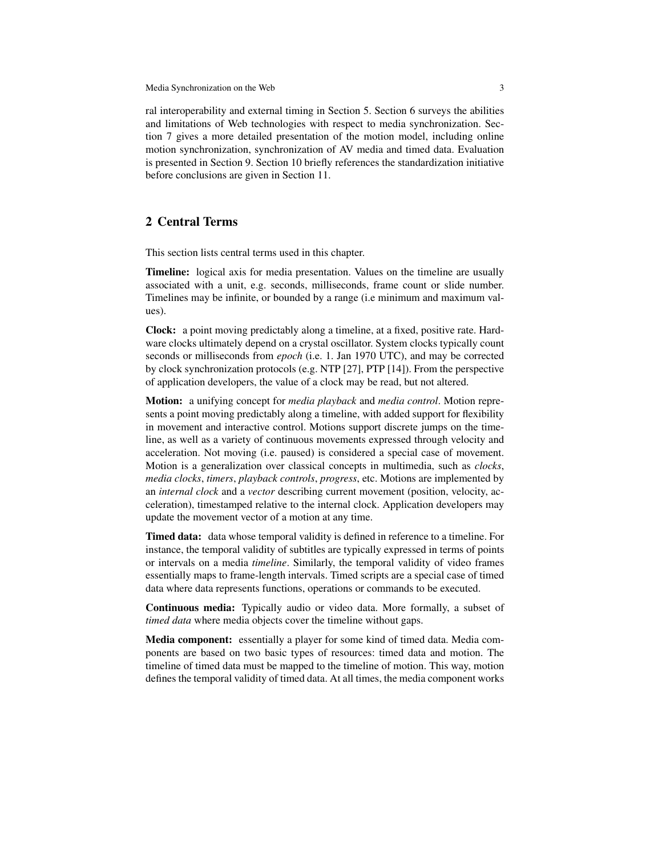ral interoperability and external timing in Section 5. Section 6 surveys the abilities and limitations of Web technologies with respect to media synchronization. Section 7 gives a more detailed presentation of the motion model, including online motion synchronization, synchronization of AV media and timed data. Evaluation is presented in Section 9. Section 10 briefly references the standardization initiative before conclusions are given in Section 11.

# 2 Central Terms

This section lists central terms used in this chapter.

Timeline: logical axis for media presentation. Values on the timeline are usually associated with a unit, e.g. seconds, milliseconds, frame count or slide number. Timelines may be infinite, or bounded by a range (i.e minimum and maximum values).

Clock: a point moving predictably along a timeline, at a fixed, positive rate. Hardware clocks ultimately depend on a crystal oscillator. System clocks typically count seconds or milliseconds from *epoch* (i.e. 1. Jan 1970 UTC), and may be corrected by clock synchronization protocols (e.g. NTP [27], PTP [14]). From the perspective of application developers, the value of a clock may be read, but not altered.

Motion: a unifying concept for *media playback* and *media control*. Motion represents a point moving predictably along a timeline, with added support for flexibility in movement and interactive control. Motions support discrete jumps on the timeline, as well as a variety of continuous movements expressed through velocity and acceleration. Not moving (i.e. paused) is considered a special case of movement. Motion is a generalization over classical concepts in multimedia, such as *clocks*, *media clocks*, *timers*, *playback controls*, *progress*, etc. Motions are implemented by an *internal clock* and a *vector* describing current movement (position, velocity, acceleration), timestamped relative to the internal clock. Application developers may update the movement vector of a motion at any time.

Timed data: data whose temporal validity is defined in reference to a timeline. For instance, the temporal validity of subtitles are typically expressed in terms of points or intervals on a media *timeline*. Similarly, the temporal validity of video frames essentially maps to frame-length intervals. Timed scripts are a special case of timed data where data represents functions, operations or commands to be executed.

Continuous media: Typically audio or video data. More formally, a subset of *timed data* where media objects cover the timeline without gaps.

Media component: essentially a player for some kind of timed data. Media components are based on two basic types of resources: timed data and motion. The timeline of timed data must be mapped to the timeline of motion. This way, motion defines the temporal validity of timed data. At all times, the media component works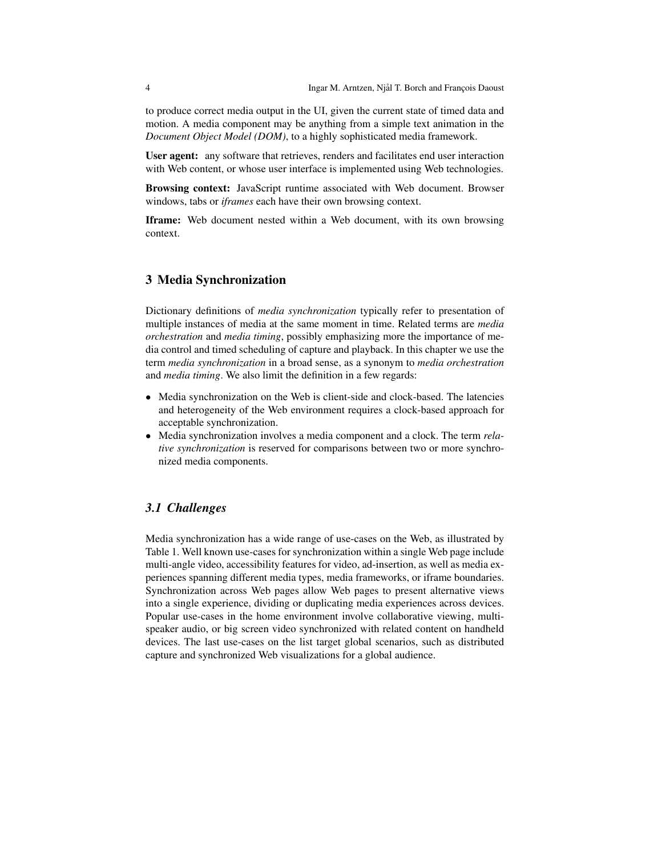to produce correct media output in the UI, given the current state of timed data and motion. A media component may be anything from a simple text animation in the *Document Object Model (DOM)*, to a highly sophisticated media framework.

User agent: any software that retrieves, renders and facilitates end user interaction with Web content, or whose user interface is implemented using Web technologies.

Browsing context: JavaScript runtime associated with Web document. Browser windows, tabs or *iframes* each have their own browsing context.

Iframe: Web document nested within a Web document, with its own browsing context.

# 3 Media Synchronization

Dictionary definitions of *media synchronization* typically refer to presentation of multiple instances of media at the same moment in time. Related terms are *media orchestration* and *media timing*, possibly emphasizing more the importance of media control and timed scheduling of capture and playback. In this chapter we use the term *media synchronization* in a broad sense, as a synonym to *media orchestration* and *media timing*. We also limit the definition in a few regards:

- Media synchronization on the Web is client-side and clock-based. The latencies and heterogeneity of the Web environment requires a clock-based approach for acceptable synchronization.
- Media synchronization involves a media component and a clock. The term *relative synchronization* is reserved for comparisons between two or more synchronized media components.

# *3.1 Challenges*

Media synchronization has a wide range of use-cases on the Web, as illustrated by Table 1. Well known use-cases for synchronization within a single Web page include multi-angle video, accessibility features for video, ad-insertion, as well as media experiences spanning different media types, media frameworks, or iframe boundaries. Synchronization across Web pages allow Web pages to present alternative views into a single experience, dividing or duplicating media experiences across devices. Popular use-cases in the home environment involve collaborative viewing, multispeaker audio, or big screen video synchronized with related content on handheld devices. The last use-cases on the list target global scenarios, such as distributed capture and synchronized Web visualizations for a global audience.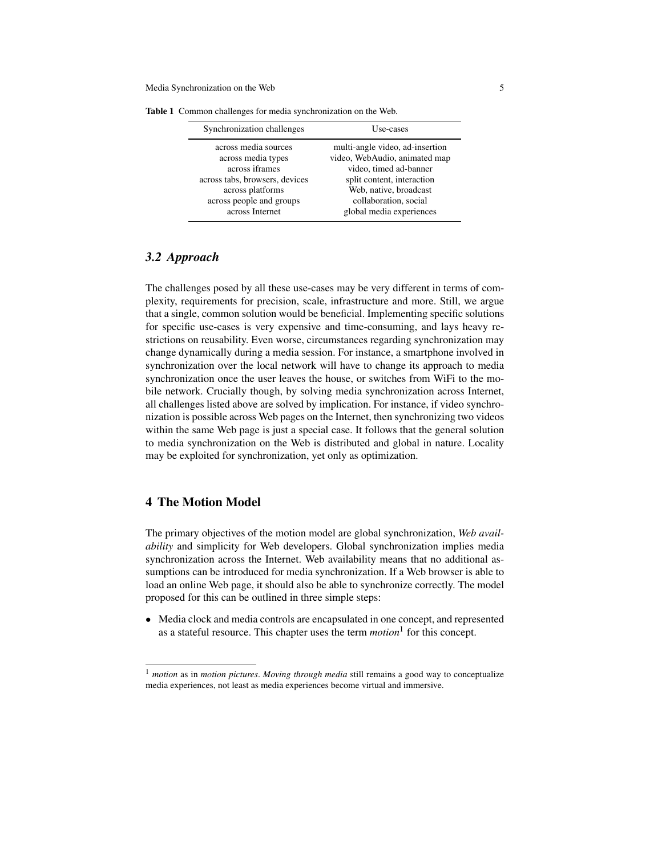| Synchronization challenges     | Use-cases                       |
|--------------------------------|---------------------------------|
| across media sources           | multi-angle video, ad-insertion |
| across media types             | video, WebAudio, animated map   |
| across iframes                 | video, timed ad-banner          |
| across tabs, browsers, devices | split content, interaction      |
| across platforms               | Web, native, broadcast          |
| across people and groups       | collaboration, social           |
| across Internet                | global media experiences        |

Table 1 Common challenges for media synchronization on the Web.

# *3.2 Approach*

The challenges posed by all these use-cases may be very different in terms of complexity, requirements for precision, scale, infrastructure and more. Still, we argue that a single, common solution would be beneficial. Implementing specific solutions for specific use-cases is very expensive and time-consuming, and lays heavy restrictions on reusability. Even worse, circumstances regarding synchronization may change dynamically during a media session. For instance, a smartphone involved in synchronization over the local network will have to change its approach to media synchronization once the user leaves the house, or switches from WiFi to the mobile network. Crucially though, by solving media synchronization across Internet, all challenges listed above are solved by implication. For instance, if video synchronization is possible across Web pages on the Internet, then synchronizing two videos within the same Web page is just a special case. It follows that the general solution to media synchronization on the Web is distributed and global in nature. Locality may be exploited for synchronization, yet only as optimization.

### 4 The Motion Model

The primary objectives of the motion model are global synchronization, *Web availability* and simplicity for Web developers. Global synchronization implies media synchronization across the Internet. Web availability means that no additional assumptions can be introduced for media synchronization. If a Web browser is able to load an online Web page, it should also be able to synchronize correctly. The model proposed for this can be outlined in three simple steps:

• Media clock and media controls are encapsulated in one concept, and represented as a stateful resource. This chapter uses the term *motion*<sup>1</sup> for this concept.

<sup>1</sup> *motion* as in *motion pictures*. *Moving through media* still remains a good way to conceptualize media experiences, not least as media experiences become virtual and immersive.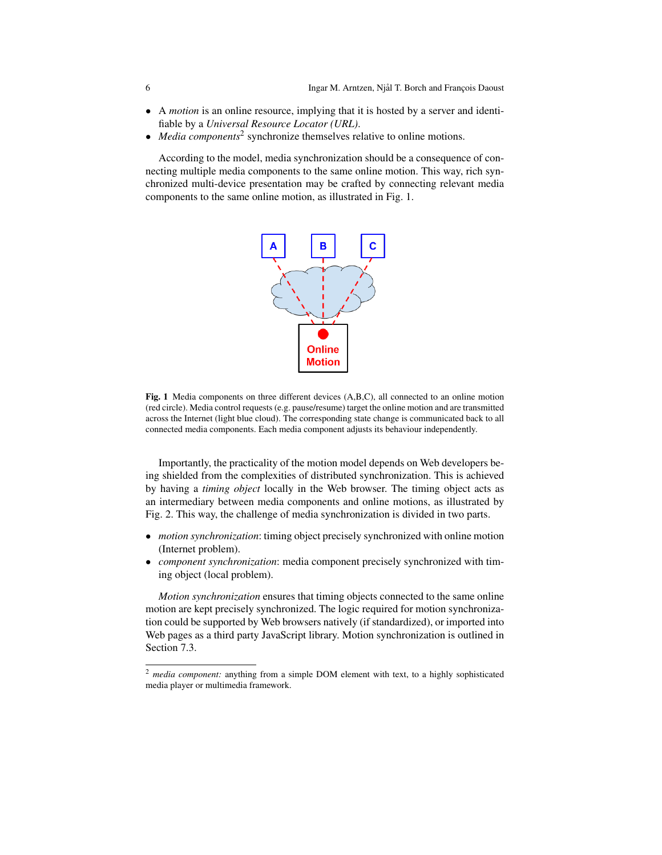- A *motion* is an online resource, implying that it is hosted by a server and identifiable by a *Universal Resource Locator (URL)*.
- *Media components*<sup>2</sup> synchronize themselves relative to online motions.

According to the model, media synchronization should be a consequence of connecting multiple media components to the same online motion. This way, rich synchronized multi-device presentation may be crafted by connecting relevant media components to the same online motion, as illustrated in Fig. 1.



Fig. 1 Media components on three different devices (A,B,C), all connected to an online motion (red circle). Media control requests (e.g. pause/resume) target the online motion and are transmitted across the Internet (light blue cloud). The corresponding state change is communicated back to all connected media components. Each media component adjusts its behaviour independently.

Importantly, the practicality of the motion model depends on Web developers being shielded from the complexities of distributed synchronization. This is achieved by having a *timing object* locally in the Web browser. The timing object acts as an intermediary between media components and online motions, as illustrated by Fig. 2. This way, the challenge of media synchronization is divided in two parts.

- *motion synchronization*: timing object precisely synchronized with online motion (Internet problem).
- *component synchronization*: media component precisely synchronized with timing object (local problem).

*Motion synchronization* ensures that timing objects connected to the same online motion are kept precisely synchronized. The logic required for motion synchronization could be supported by Web browsers natively (if standardized), or imported into Web pages as a third party JavaScript library. Motion synchronization is outlined in Section 7.3.

<sup>2</sup> *media component:* anything from a simple DOM element with text, to a highly sophisticated media player or multimedia framework.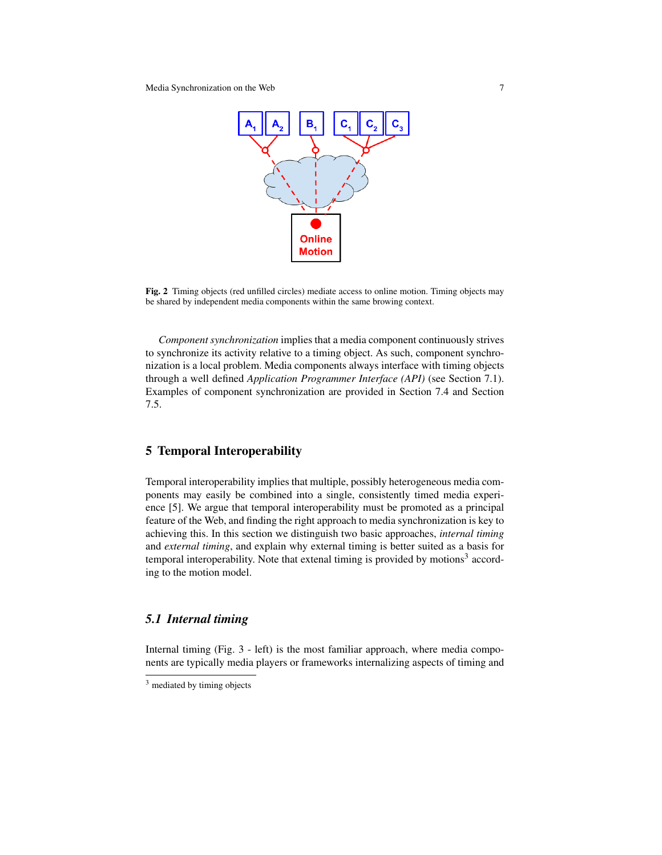

Fig. 2 Timing objects (red unfilled circles) mediate access to online motion. Timing objects may be shared by independent media components within the same browing context.

*Component synchronization* implies that a media component continuously strives to synchronize its activity relative to a timing object. As such, component synchronization is a local problem. Media components always interface with timing objects through a well defined *Application Programmer Interface (API)* (see Section 7.1). Examples of component synchronization are provided in Section 7.4 and Section 7.5.

# 5 Temporal Interoperability

Temporal interoperability implies that multiple, possibly heterogeneous media components may easily be combined into a single, consistently timed media experience [5]. We argue that temporal interoperability must be promoted as a principal feature of the Web, and finding the right approach to media synchronization is key to achieving this. In this section we distinguish two basic approaches, *internal timing* and *external timing*, and explain why external timing is better suited as a basis for temporal interoperability. Note that extenal timing is provided by motions<sup>3</sup> according to the motion model.

# *5.1 Internal timing*

Internal timing (Fig. 3 - left) is the most familiar approach, where media components are typically media players or frameworks internalizing aspects of timing and

<sup>&</sup>lt;sup>3</sup> mediated by timing objects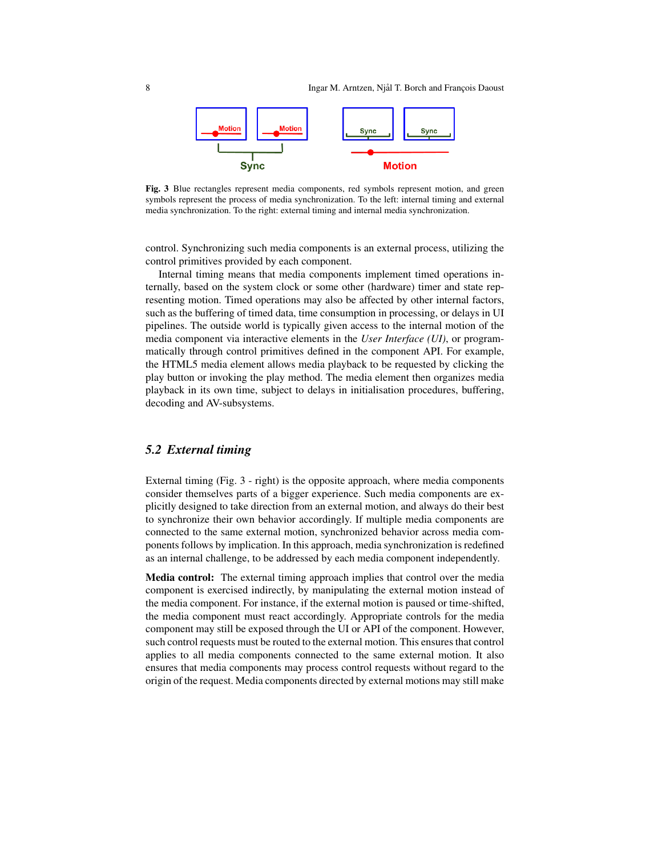

Fig. 3 Blue rectangles represent media components, red symbols represent motion, and green symbols represent the process of media synchronization. To the left: internal timing and external media synchronization. To the right: external timing and internal media synchronization.

control. Synchronizing such media components is an external process, utilizing the control primitives provided by each component.

Internal timing means that media components implement timed operations internally, based on the system clock or some other (hardware) timer and state representing motion. Timed operations may also be affected by other internal factors, such as the buffering of timed data, time consumption in processing, or delays in UI pipelines. The outside world is typically given access to the internal motion of the media component via interactive elements in the *User Interface (UI)*, or programmatically through control primitives defined in the component API. For example, the HTML5 media element allows media playback to be requested by clicking the play button or invoking the play method. The media element then organizes media playback in its own time, subject to delays in initialisation procedures, buffering, decoding and AV-subsystems.

## *5.2 External timing*

External timing (Fig. 3 - right) is the opposite approach, where media components consider themselves parts of a bigger experience. Such media components are explicitly designed to take direction from an external motion, and always do their best to synchronize their own behavior accordingly. If multiple media components are connected to the same external motion, synchronized behavior across media components follows by implication. In this approach, media synchronization is redefined as an internal challenge, to be addressed by each media component independently.

Media control: The external timing approach implies that control over the media component is exercised indirectly, by manipulating the external motion instead of the media component. For instance, if the external motion is paused or time-shifted, the media component must react accordingly. Appropriate controls for the media component may still be exposed through the UI or API of the component. However, such control requests must be routed to the external motion. This ensures that control applies to all media components connected to the same external motion. It also ensures that media components may process control requests without regard to the origin of the request. Media components directed by external motions may still make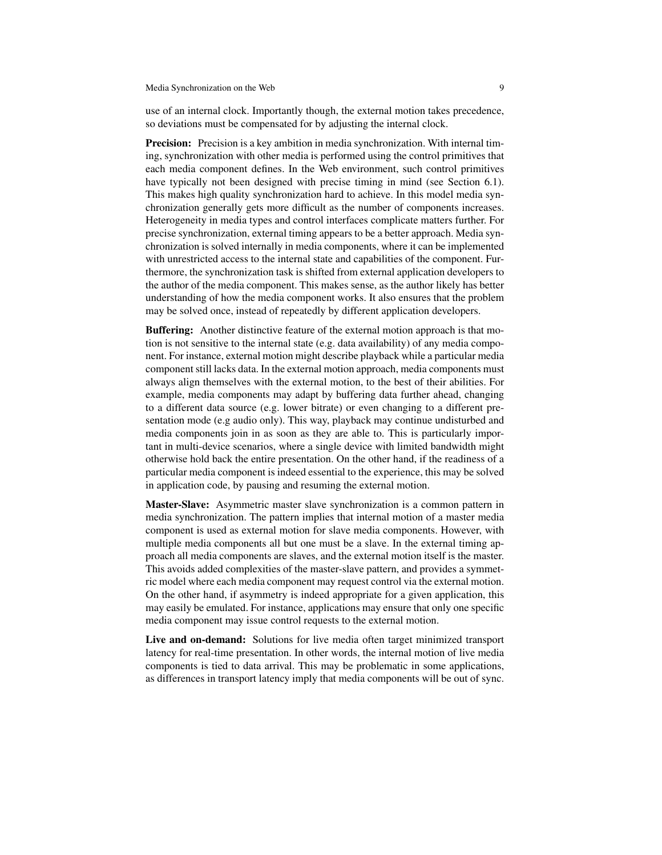use of an internal clock. Importantly though, the external motion takes precedence, so deviations must be compensated for by adjusting the internal clock.

Precision: Precision is a key ambition in media synchronization. With internal timing, synchronization with other media is performed using the control primitives that each media component defines. In the Web environment, such control primitives have typically not been designed with precise timing in mind (see Section 6.1). This makes high quality synchronization hard to achieve. In this model media synchronization generally gets more difficult as the number of components increases. Heterogeneity in media types and control interfaces complicate matters further. For precise synchronization, external timing appears to be a better approach. Media synchronization is solved internally in media components, where it can be implemented with unrestricted access to the internal state and capabilities of the component. Furthermore, the synchronization task is shifted from external application developers to the author of the media component. This makes sense, as the author likely has better understanding of how the media component works. It also ensures that the problem may be solved once, instead of repeatedly by different application developers.

Buffering: Another distinctive feature of the external motion approach is that motion is not sensitive to the internal state (e.g. data availability) of any media component. For instance, external motion might describe playback while a particular media component still lacks data. In the external motion approach, media components must always align themselves with the external motion, to the best of their abilities. For example, media components may adapt by buffering data further ahead, changing to a different data source (e.g. lower bitrate) or even changing to a different presentation mode (e.g audio only). This way, playback may continue undisturbed and media components join in as soon as they are able to. This is particularly important in multi-device scenarios, where a single device with limited bandwidth might otherwise hold back the entire presentation. On the other hand, if the readiness of a particular media component is indeed essential to the experience, this may be solved in application code, by pausing and resuming the external motion.

Master-Slave: Asymmetric master slave synchronization is a common pattern in media synchronization. The pattern implies that internal motion of a master media component is used as external motion for slave media components. However, with multiple media components all but one must be a slave. In the external timing approach all media components are slaves, and the external motion itself is the master. This avoids added complexities of the master-slave pattern, and provides a symmetric model where each media component may request control via the external motion. On the other hand, if asymmetry is indeed appropriate for a given application, this may easily be emulated. For instance, applications may ensure that only one specific media component may issue control requests to the external motion.

Live and on-demand: Solutions for live media often target minimized transport latency for real-time presentation. In other words, the internal motion of live media components is tied to data arrival. This may be problematic in some applications, as differences in transport latency imply that media components will be out of sync.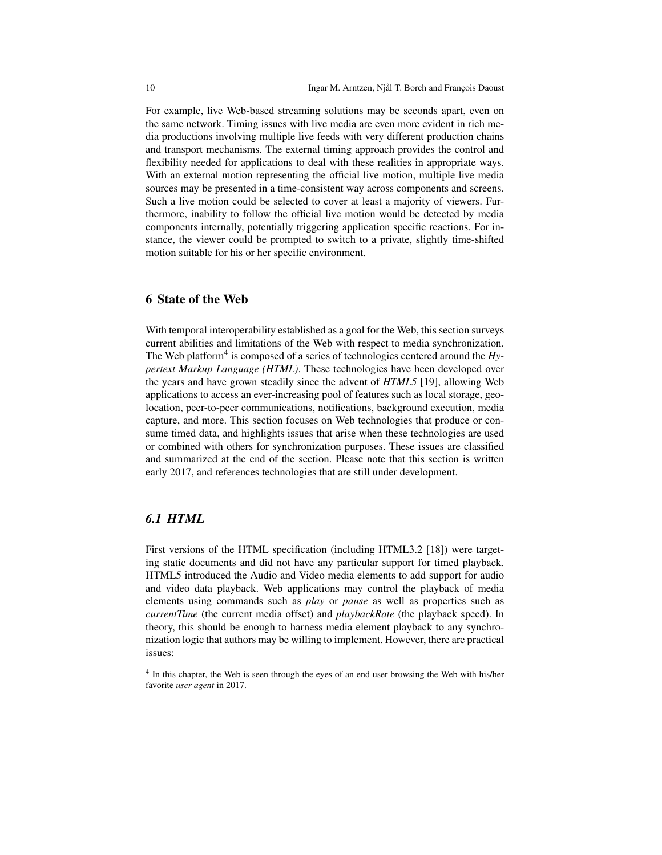For example, live Web-based streaming solutions may be seconds apart, even on the same network. Timing issues with live media are even more evident in rich media productions involving multiple live feeds with very different production chains and transport mechanisms. The external timing approach provides the control and flexibility needed for applications to deal with these realities in appropriate ways. With an external motion representing the official live motion, multiple live media sources may be presented in a time-consistent way across components and screens. Such a live motion could be selected to cover at least a majority of viewers. Furthermore, inability to follow the official live motion would be detected by media components internally, potentially triggering application specific reactions. For instance, the viewer could be prompted to switch to a private, slightly time-shifted motion suitable for his or her specific environment.

### 6 State of the Web

With temporal interoperability established as a goal for the Web, this section surveys current abilities and limitations of the Web with respect to media synchronization. The Web platform<sup>4</sup> is composed of a series of technologies centered around the *Hypertext Markup Language (HTML)*. These technologies have been developed over the years and have grown steadily since the advent of *HTML5* [19], allowing Web applications to access an ever-increasing pool of features such as local storage, geolocation, peer-to-peer communications, notifications, background execution, media capture, and more. This section focuses on Web technologies that produce or consume timed data, and highlights issues that arise when these technologies are used or combined with others for synchronization purposes. These issues are classified and summarized at the end of the section. Please note that this section is written early 2017, and references technologies that are still under development.

#### *6.1 HTML*

First versions of the HTML specification (including HTML3.2 [18]) were targeting static documents and did not have any particular support for timed playback. HTML5 introduced the Audio and Video media elements to add support for audio and video data playback. Web applications may control the playback of media elements using commands such as *play* or *pause* as well as properties such as *currentTime* (the current media offset) and *playbackRate* (the playback speed). In theory, this should be enough to harness media element playback to any synchronization logic that authors may be willing to implement. However, there are practical issues:

<sup>&</sup>lt;sup>4</sup> In this chapter, the Web is seen through the eyes of an end user browsing the Web with his/her favorite *user agent* in 2017.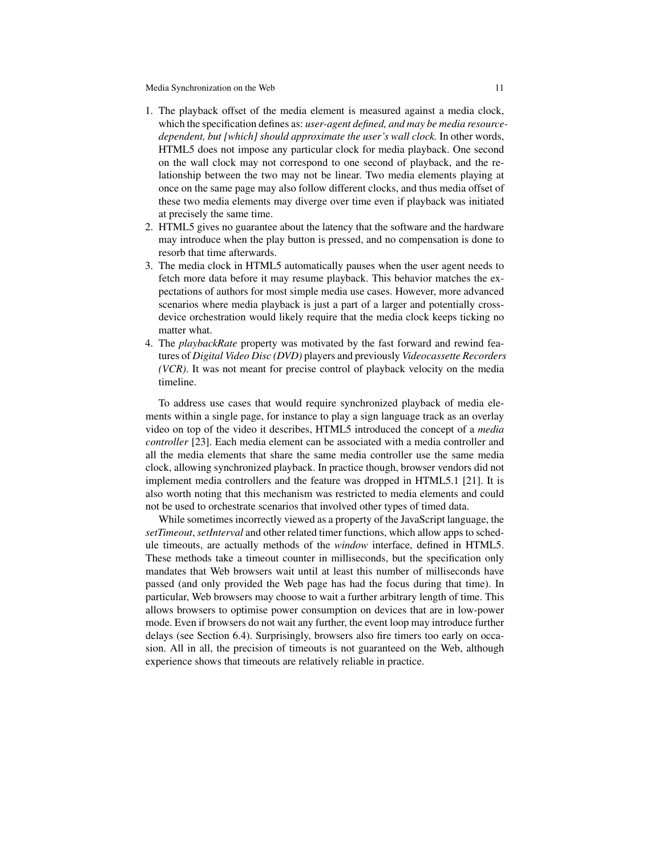- 1. The playback offset of the media element is measured against a media clock, which the specification defines as: *user-agent defined, and may be media resourcedependent, but [which] should approximate the user's wall clock.* In other words, HTML5 does not impose any particular clock for media playback. One second on the wall clock may not correspond to one second of playback, and the relationship between the two may not be linear. Two media elements playing at once on the same page may also follow different clocks, and thus media offset of these two media elements may diverge over time even if playback was initiated at precisely the same time.
- 2. HTML5 gives no guarantee about the latency that the software and the hardware may introduce when the play button is pressed, and no compensation is done to resorb that time afterwards.
- 3. The media clock in HTML5 automatically pauses when the user agent needs to fetch more data before it may resume playback. This behavior matches the expectations of authors for most simple media use cases. However, more advanced scenarios where media playback is just a part of a larger and potentially crossdevice orchestration would likely require that the media clock keeps ticking no matter what.
- 4. The *playbackRate* property was motivated by the fast forward and rewind features of *Digital Video Disc (DVD)* players and previously *Videocassette Recorders (VCR)*. It was not meant for precise control of playback velocity on the media timeline.

To address use cases that would require synchronized playback of media elements within a single page, for instance to play a sign language track as an overlay video on top of the video it describes, HTML5 introduced the concept of a *media controller* [23]. Each media element can be associated with a media controller and all the media elements that share the same media controller use the same media clock, allowing synchronized playback. In practice though, browser vendors did not implement media controllers and the feature was dropped in HTML5.1 [21]. It is also worth noting that this mechanism was restricted to media elements and could not be used to orchestrate scenarios that involved other types of timed data.

While sometimes incorrectly viewed as a property of the JavaScript language, the *setTimeout*, *setInterval* and other related timer functions, which allow apps to schedule timeouts, are actually methods of the *window* interface, defined in HTML5. These methods take a timeout counter in milliseconds, but the specification only mandates that Web browsers wait until at least this number of milliseconds have passed (and only provided the Web page has had the focus during that time). In particular, Web browsers may choose to wait a further arbitrary length of time. This allows browsers to optimise power consumption on devices that are in low-power mode. Even if browsers do not wait any further, the event loop may introduce further delays (see Section 6.4). Surprisingly, browsers also fire timers too early on occasion. All in all, the precision of timeouts is not guaranteed on the Web, although experience shows that timeouts are relatively reliable in practice.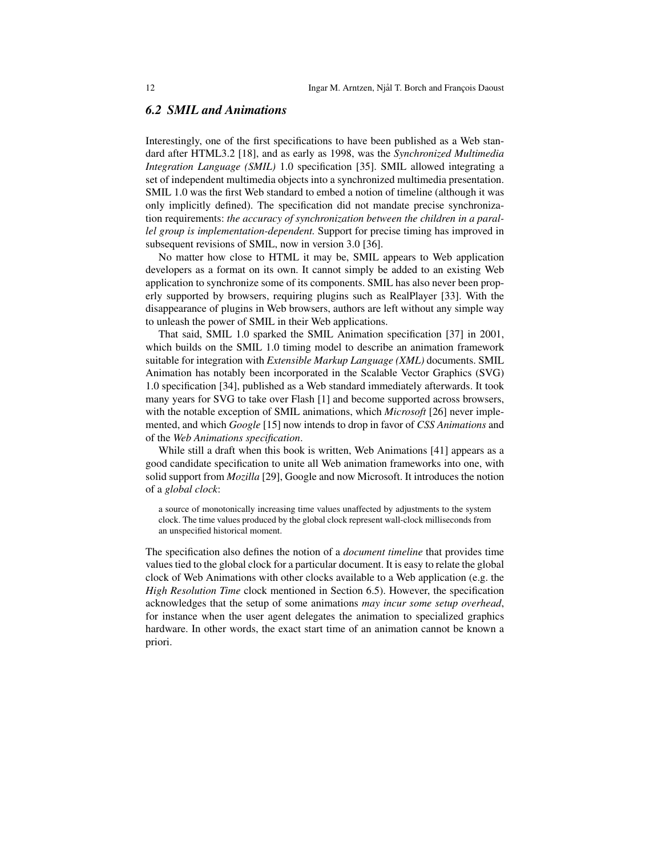#### *6.2 SMIL and Animations*

Interestingly, one of the first specifications to have been published as a Web standard after HTML3.2 [18], and as early as 1998, was the *Synchronized Multimedia Integration Language (SMIL)* 1.0 specification [35]. SMIL allowed integrating a set of independent multimedia objects into a synchronized multimedia presentation. SMIL 1.0 was the first Web standard to embed a notion of timeline (although it was only implicitly defined). The specification did not mandate precise synchronization requirements: *the accuracy of synchronization between the children in a parallel group is implementation-dependent.* Support for precise timing has improved in subsequent revisions of SMIL, now in version 3.0 [36].

No matter how close to HTML it may be, SMIL appears to Web application developers as a format on its own. It cannot simply be added to an existing Web application to synchronize some of its components. SMIL has also never been properly supported by browsers, requiring plugins such as RealPlayer [33]. With the disappearance of plugins in Web browsers, authors are left without any simple way to unleash the power of SMIL in their Web applications.

That said, SMIL 1.0 sparked the SMIL Animation specification [37] in 2001, which builds on the SMIL 1.0 timing model to describe an animation framework suitable for integration with *Extensible Markup Language (XML)* documents. SMIL Animation has notably been incorporated in the Scalable Vector Graphics (SVG) 1.0 specification [34], published as a Web standard immediately afterwards. It took many years for SVG to take over Flash [1] and become supported across browsers, with the notable exception of SMIL animations, which *Microsoft* [26] never implemented, and which *Google* [15] now intends to drop in favor of *CSS Animations* and of the *Web Animations specification*.

While still a draft when this book is written, Web Animations [41] appears as a good candidate specification to unite all Web animation frameworks into one, with solid support from *Mozilla* [29], Google and now Microsoft. It introduces the notion of a *global clock*:

a source of monotonically increasing time values unaffected by adjustments to the system clock. The time values produced by the global clock represent wall-clock milliseconds from an unspecified historical moment.

The specification also defines the notion of a *document timeline* that provides time values tied to the global clock for a particular document. It is easy to relate the global clock of Web Animations with other clocks available to a Web application (e.g. the *High Resolution Time* clock mentioned in Section 6.5). However, the specification acknowledges that the setup of some animations *may incur some setup overhead*, for instance when the user agent delegates the animation to specialized graphics hardware. In other words, the exact start time of an animation cannot be known a priori.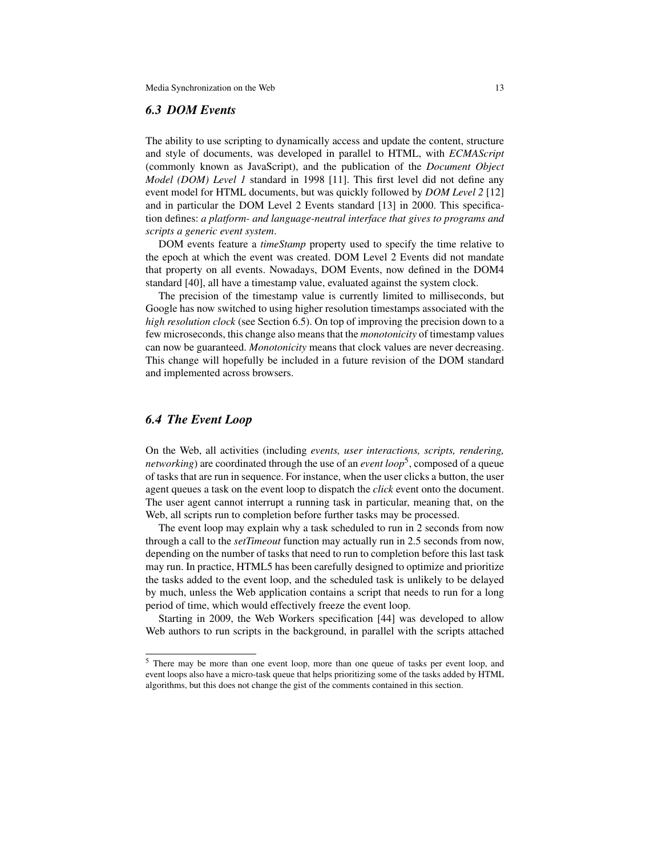#### *6.3 DOM Events*

The ability to use scripting to dynamically access and update the content, structure and style of documents, was developed in parallel to HTML, with *ECMAScript* (commonly known as JavaScript), and the publication of the *Document Object Model (DOM) Level 1* standard in 1998 [11]. This first level did not define any event model for HTML documents, but was quickly followed by *DOM Level 2* [12] and in particular the DOM Level 2 Events standard [13] in 2000. This specification defines: *a platform- and language-neutral interface that gives to programs and scripts a generic event system*.

DOM events feature a *timeStamp* property used to specify the time relative to the epoch at which the event was created. DOM Level 2 Events did not mandate that property on all events. Nowadays, DOM Events, now defined in the DOM4 standard [40], all have a timestamp value, evaluated against the system clock.

The precision of the timestamp value is currently limited to milliseconds, but Google has now switched to using higher resolution timestamps associated with the *high resolution clock* (see Section 6.5). On top of improving the precision down to a few microseconds, this change also means that the *monotonicity* of timestamp values can now be guaranteed. *Monotonicity* means that clock values are never decreasing. This change will hopefully be included in a future revision of the DOM standard and implemented across browsers.

# *6.4 The Event Loop*

On the Web, all activities (including *events, user interactions, scripts, rendering, networking*) are coordinated through the use of an *event loop*<sup>5</sup> , composed of a queue of tasks that are run in sequence. For instance, when the user clicks a button, the user agent queues a task on the event loop to dispatch the *click* event onto the document. The user agent cannot interrupt a running task in particular, meaning that, on the Web, all scripts run to completion before further tasks may be processed.

The event loop may explain why a task scheduled to run in 2 seconds from now through a call to the *setTimeout* function may actually run in 2.5 seconds from now, depending on the number of tasks that need to run to completion before this last task may run. In practice, HTML5 has been carefully designed to optimize and prioritize the tasks added to the event loop, and the scheduled task is unlikely to be delayed by much, unless the Web application contains a script that needs to run for a long period of time, which would effectively freeze the event loop.

Starting in 2009, the Web Workers specification [44] was developed to allow Web authors to run scripts in the background, in parallel with the scripts attached

<sup>5</sup> There may be more than one event loop, more than one queue of tasks per event loop, and event loops also have a micro-task queue that helps prioritizing some of the tasks added by HTML algorithms, but this does not change the gist of the comments contained in this section.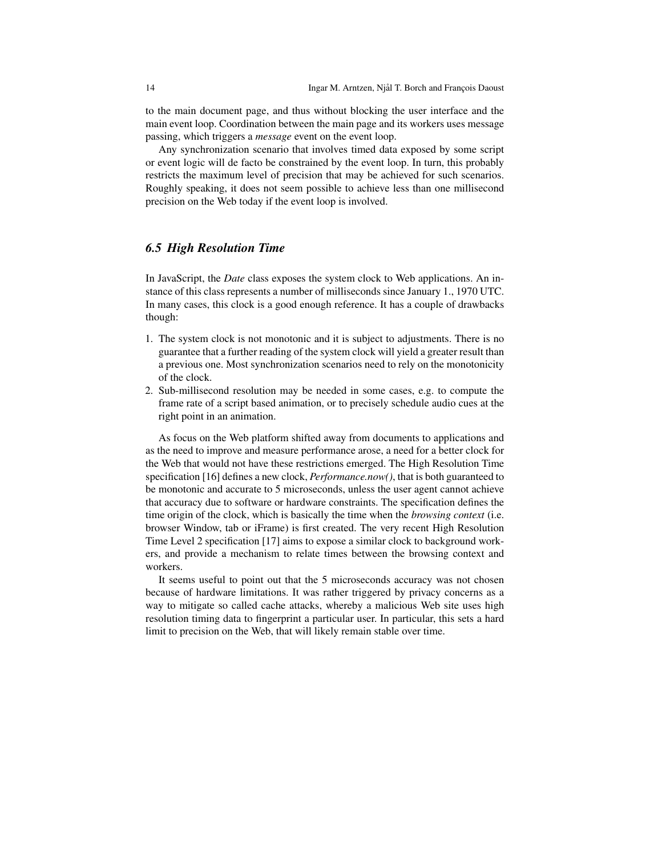to the main document page, and thus without blocking the user interface and the main event loop. Coordination between the main page and its workers uses message passing, which triggers a *message* event on the event loop.

Any synchronization scenario that involves timed data exposed by some script or event logic will de facto be constrained by the event loop. In turn, this probably restricts the maximum level of precision that may be achieved for such scenarios. Roughly speaking, it does not seem possible to achieve less than one millisecond precision on the Web today if the event loop is involved.

# *6.5 High Resolution Time*

In JavaScript, the *Date* class exposes the system clock to Web applications. An instance of this class represents a number of milliseconds since January 1., 1970 UTC. In many cases, this clock is a good enough reference. It has a couple of drawbacks though:

- 1. The system clock is not monotonic and it is subject to adjustments. There is no guarantee that a further reading of the system clock will yield a greater result than a previous one. Most synchronization scenarios need to rely on the monotonicity of the clock.
- 2. Sub-millisecond resolution may be needed in some cases, e.g. to compute the frame rate of a script based animation, or to precisely schedule audio cues at the right point in an animation.

As focus on the Web platform shifted away from documents to applications and as the need to improve and measure performance arose, a need for a better clock for the Web that would not have these restrictions emerged. The High Resolution Time specification [16] defines a new clock, *Performance.now()*, that is both guaranteed to be monotonic and accurate to 5 microseconds, unless the user agent cannot achieve that accuracy due to software or hardware constraints. The specification defines the time origin of the clock, which is basically the time when the *browsing context* (i.e. browser Window, tab or iFrame) is first created. The very recent High Resolution Time Level 2 specification [17] aims to expose a similar clock to background workers, and provide a mechanism to relate times between the browsing context and workers.

It seems useful to point out that the 5 microseconds accuracy was not chosen because of hardware limitations. It was rather triggered by privacy concerns as a way to mitigate so called cache attacks, whereby a malicious Web site uses high resolution timing data to fingerprint a particular user. In particular, this sets a hard limit to precision on the Web, that will likely remain stable over time.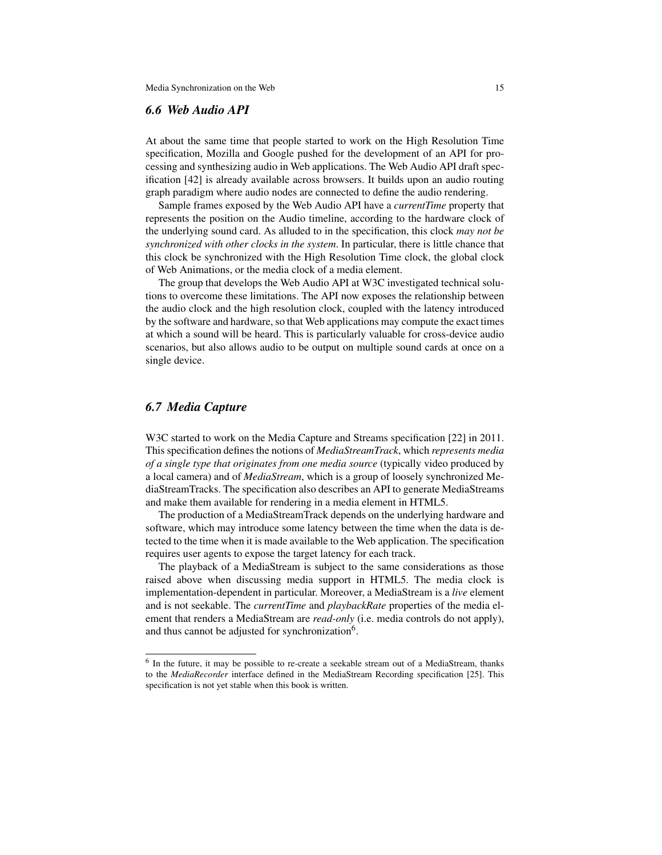#### *6.6 Web Audio API*

At about the same time that people started to work on the High Resolution Time specification, Mozilla and Google pushed for the development of an API for processing and synthesizing audio in Web applications. The Web Audio API draft specification [42] is already available across browsers. It builds upon an audio routing graph paradigm where audio nodes are connected to define the audio rendering.

Sample frames exposed by the Web Audio API have a *currentTime* property that represents the position on the Audio timeline, according to the hardware clock of the underlying sound card. As alluded to in the specification, this clock *may not be synchronized with other clocks in the system*. In particular, there is little chance that this clock be synchronized with the High Resolution Time clock, the global clock of Web Animations, or the media clock of a media element.

The group that develops the Web Audio API at W3C investigated technical solutions to overcome these limitations. The API now exposes the relationship between the audio clock and the high resolution clock, coupled with the latency introduced by the software and hardware, so that Web applications may compute the exact times at which a sound will be heard. This is particularly valuable for cross-device audio scenarios, but also allows audio to be output on multiple sound cards at once on a single device.

#### *6.7 Media Capture*

W3C started to work on the Media Capture and Streams specification [22] in 2011. This specification defines the notions of *MediaStreamTrack*, which *represents media of a single type that originates from one media source* (typically video produced by a local camera) and of *MediaStream*, which is a group of loosely synchronized MediaStreamTracks. The specification also describes an API to generate MediaStreams and make them available for rendering in a media element in HTML5.

The production of a MediaStreamTrack depends on the underlying hardware and software, which may introduce some latency between the time when the data is detected to the time when it is made available to the Web application. The specification requires user agents to expose the target latency for each track.

The playback of a MediaStream is subject to the same considerations as those raised above when discussing media support in HTML5. The media clock is implementation-dependent in particular. Moreover, a MediaStream is a *live* element and is not seekable. The *currentTime* and *playbackRate* properties of the media element that renders a MediaStream are *read-only* (i.e. media controls do not apply), and thus cannot be adjusted for synchronization<sup>6</sup>.

<sup>&</sup>lt;sup>6</sup> In the future, it may be possible to re-create a seekable stream out of a MediaStream, thanks to the *MediaRecorder* interface defined in the MediaStream Recording specification [25]. This specification is not yet stable when this book is written.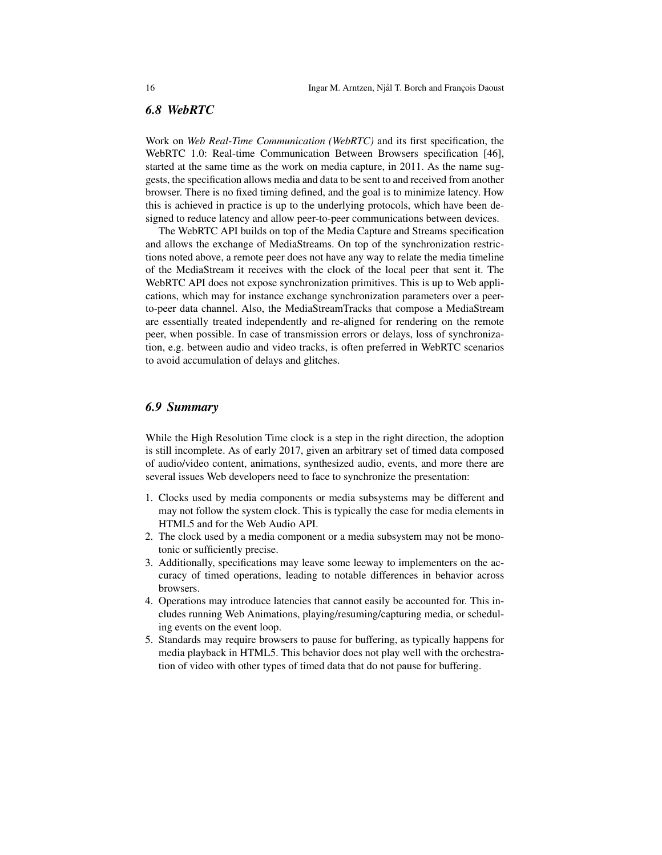# *6.8 WebRTC*

Work on *Web Real-Time Communication (WebRTC)* and its first specification, the WebRTC 1.0: Real-time Communication Between Browsers specification [46], started at the same time as the work on media capture, in 2011. As the name suggests, the specification allows media and data to be sent to and received from another browser. There is no fixed timing defined, and the goal is to minimize latency. How this is achieved in practice is up to the underlying protocols, which have been designed to reduce latency and allow peer-to-peer communications between devices.

The WebRTC API builds on top of the Media Capture and Streams specification and allows the exchange of MediaStreams. On top of the synchronization restrictions noted above, a remote peer does not have any way to relate the media timeline of the MediaStream it receives with the clock of the local peer that sent it. The WebRTC API does not expose synchronization primitives. This is up to Web applications, which may for instance exchange synchronization parameters over a peerto-peer data channel. Also, the MediaStreamTracks that compose a MediaStream are essentially treated independently and re-aligned for rendering on the remote peer, when possible. In case of transmission errors or delays, loss of synchronization, e.g. between audio and video tracks, is often preferred in WebRTC scenarios to avoid accumulation of delays and glitches.

# *6.9 Summary*

While the High Resolution Time clock is a step in the right direction, the adoption is still incomplete. As of early 2017, given an arbitrary set of timed data composed of audio/video content, animations, synthesized audio, events, and more there are several issues Web developers need to face to synchronize the presentation:

- 1. Clocks used by media components or media subsystems may be different and may not follow the system clock. This is typically the case for media elements in HTML5 and for the Web Audio API.
- 2. The clock used by a media component or a media subsystem may not be monotonic or sufficiently precise.
- 3. Additionally, specifications may leave some leeway to implementers on the accuracy of timed operations, leading to notable differences in behavior across browsers.
- 4. Operations may introduce latencies that cannot easily be accounted for. This includes running Web Animations, playing/resuming/capturing media, or scheduling events on the event loop.
- 5. Standards may require browsers to pause for buffering, as typically happens for media playback in HTML5. This behavior does not play well with the orchestration of video with other types of timed data that do not pause for buffering.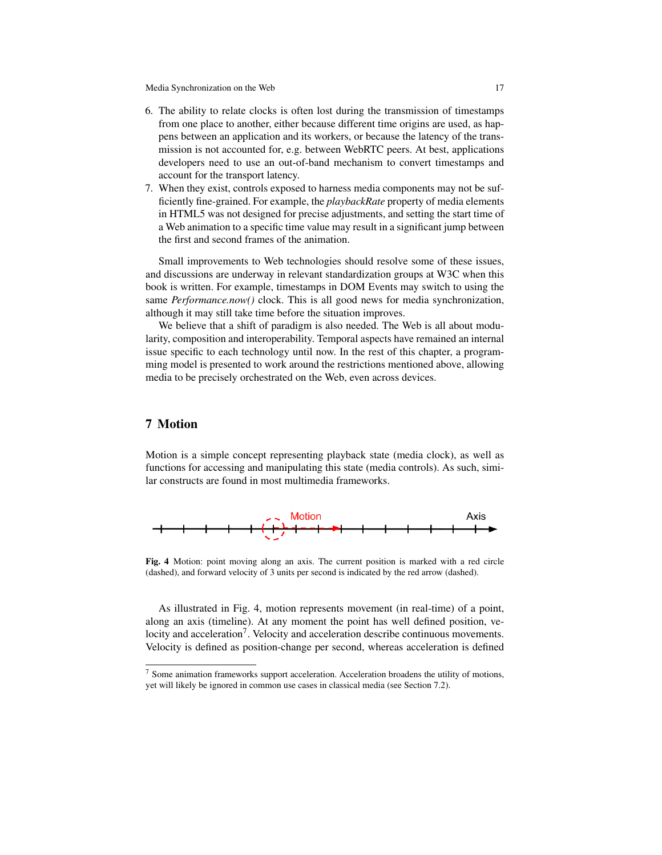- 6. The ability to relate clocks is often lost during the transmission of timestamps from one place to another, either because different time origins are used, as happens between an application and its workers, or because the latency of the transmission is not accounted for, e.g. between WebRTC peers. At best, applications developers need to use an out-of-band mechanism to convert timestamps and account for the transport latency.
- 7. When they exist, controls exposed to harness media components may not be sufficiently fine-grained. For example, the *playbackRate* property of media elements in HTML5 was not designed for precise adjustments, and setting the start time of a Web animation to a specific time value may result in a significant jump between the first and second frames of the animation.

Small improvements to Web technologies should resolve some of these issues, and discussions are underway in relevant standardization groups at W3C when this book is written. For example, timestamps in DOM Events may switch to using the same *Performance.now()* clock. This is all good news for media synchronization, although it may still take time before the situation improves.

We believe that a shift of paradigm is also needed. The Web is all about modularity, composition and interoperability. Temporal aspects have remained an internal issue specific to each technology until now. In the rest of this chapter, a programming model is presented to work around the restrictions mentioned above, allowing media to be precisely orchestrated on the Web, even across devices.

# 7 Motion

Motion is a simple concept representing playback state (media clock), as well as functions for accessing and manipulating this state (media controls). As such, similar constructs are found in most multimedia frameworks.



Fig. 4 Motion: point moving along an axis. The current position is marked with a red circle (dashed), and forward velocity of 3 units per second is indicated by the red arrow (dashed).

As illustrated in Fig. 4, motion represents movement (in real-time) of a point, along an axis (timeline). At any moment the point has well defined position, velocity and acceleration<sup>7</sup>. Velocity and acceleration describe continuous movements. Velocity is defined as position-change per second, whereas acceleration is defined

<sup>7</sup> Some animation frameworks support acceleration. Acceleration broadens the utility of motions, yet will likely be ignored in common use cases in classical media (see Section 7.2).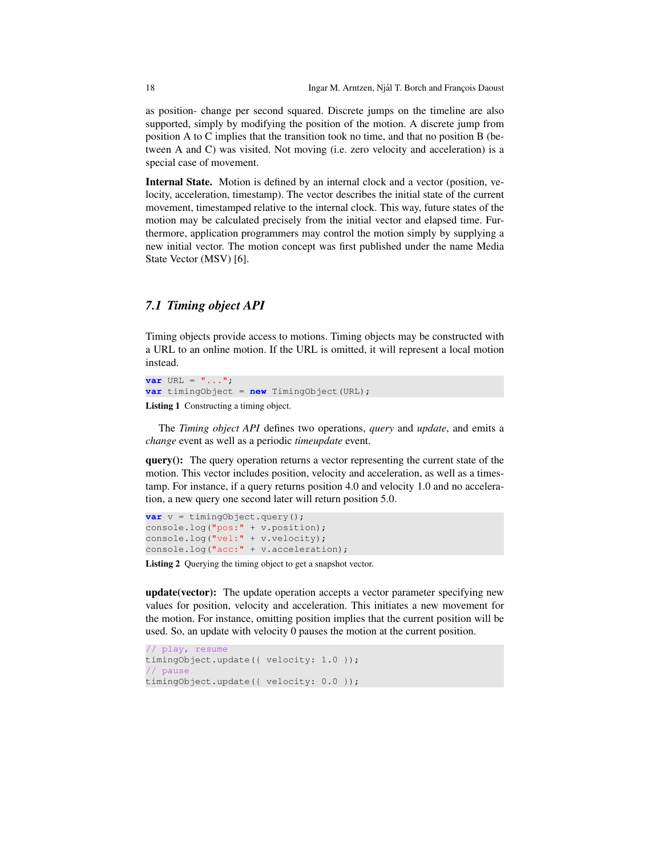as position- change per second squared. Discrete jumps on the timeline are also supported, simply by modifying the position of the motion. A discrete jump from position A to C implies that the transition took no time, and that no position B (between A and C) was visited. Not moving (i.e. zero velocity and acceleration) is a special case of movement.

Internal State. Motion is defined by an internal clock and a vector (position, velocity, acceleration, timestamp). The vector describes the initial state of the current movement, timestamped relative to the internal clock. This way, future states of the motion may be calculated precisely from the initial vector and elapsed time. Furthermore, application programmers may control the motion simply by supplying a new initial vector. The motion concept was first published under the name Media State Vector (MSV) [6].

# *7.1 Timing object API*

Timing objects provide access to motions. Timing objects may be constructed with a URL to an online motion. If the URL is omitted, it will represent a local motion instead.

```
var URL = "...";
var timingObject = new TimingObject(URL);
```
Listing 1 Constructing a timing object.

The *Timing object API* defines two operations, *query* and *update*, and emits a *change* event as well as a periodic *timeupdate* event.

query(): The query operation returns a vector representing the current state of the motion. This vector includes position, velocity and acceleration, as well as a timestamp. For instance, if a query returns position 4.0 and velocity 1.0 and no acceleration, a new query one second later will return position 5.0.

```
var v = timingObject.query();
console.log("pos:" + v.position);
console.log("vel:" + v.velocity);
console.log("acc:" + v.acceleration);
```
Listing 2 Querying the timing object to get a snapshot vector.

update(vector): The update operation accepts a vector parameter specifying new values for position, velocity and acceleration. This initiates a new movement for the motion. For instance, omitting position implies that the current position will be used. So, an update with velocity 0 pauses the motion at the current position.

```
// play, resume
timingObject.update({ velocity: 1.0 });
// pause
timingObject.update({ velocity: 0.0 });
```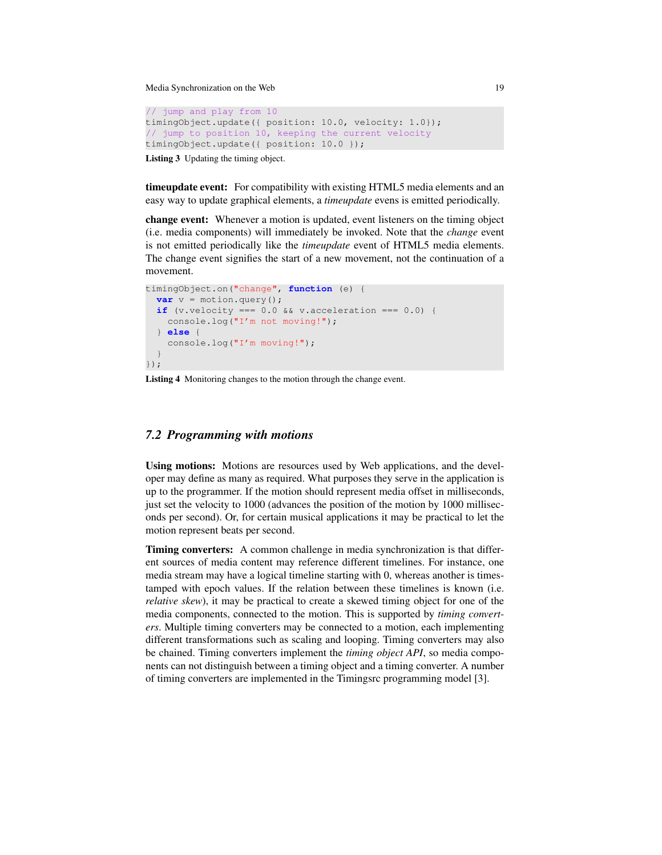```
// jump and play from 10
timingObject.update({ position: 10.0, velocity: 1.0});
// jump to position 10, keeping the current velocity
timingObject.update({ position: 10.0 });
```
Listing 3 Updating the timing object.

timeupdate event: For compatibility with existing HTML5 media elements and an easy way to update graphical elements, a *timeupdate* evens is emitted periodically.

change event: Whenever a motion is updated, event listeners on the timing object (i.e. media components) will immediately be invoked. Note that the *change* event is not emitted periodically like the *timeupdate* event of HTML5 media elements. The change event signifies the start of a new movement, not the continuation of a movement.

```
timingObject.on("change", function (e) {
 var v = motion.query();
 if (v.velocity === 0.0 && v.acceleration === 0.0) {
   console.log("I'm not moving!");
  } else {
    console.log("I'm moving!");
  }
});
```
#### Listing 4 Monitoring changes to the motion through the change event.

#### *7.2 Programming with motions*

Using motions: Motions are resources used by Web applications, and the developer may define as many as required. What purposes they serve in the application is up to the programmer. If the motion should represent media offset in milliseconds, just set the velocity to 1000 (advances the position of the motion by 1000 milliseconds per second). Or, for certain musical applications it may be practical to let the motion represent beats per second.

Timing converters: A common challenge in media synchronization is that different sources of media content may reference different timelines. For instance, one media stream may have a logical timeline starting with 0, whereas another is timestamped with epoch values. If the relation between these timelines is known (i.e. *relative skew*), it may be practical to create a skewed timing object for one of the media components, connected to the motion. This is supported by *timing converters*. Multiple timing converters may be connected to a motion, each implementing different transformations such as scaling and looping. Timing converters may also be chained. Timing converters implement the *timing object API*, so media components can not distinguish between a timing object and a timing converter. A number of timing converters are implemented in the Timingsrc programming model [3].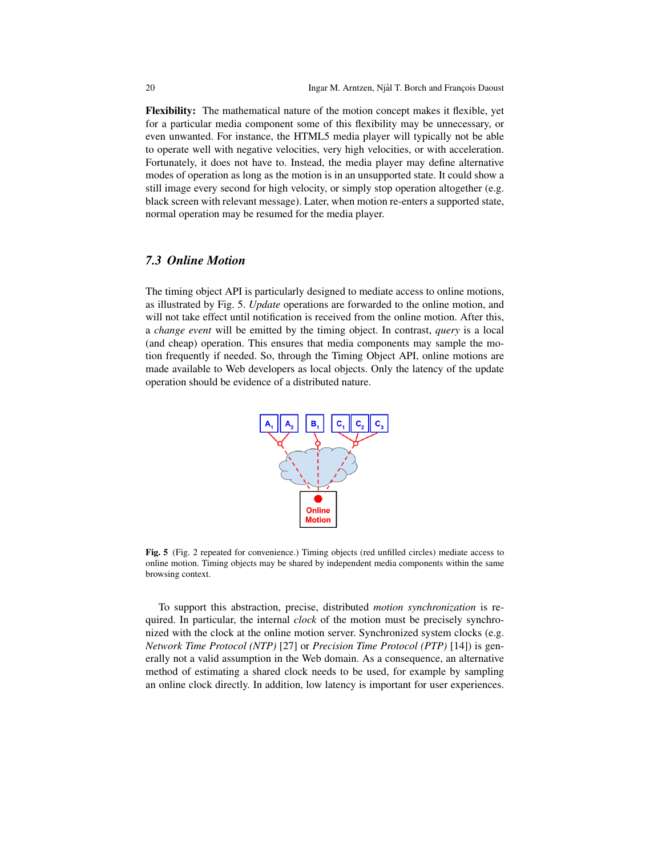Flexibility: The mathematical nature of the motion concept makes it flexible, yet for a particular media component some of this flexibility may be unnecessary, or even unwanted. For instance, the HTML5 media player will typically not be able to operate well with negative velocities, very high velocities, or with acceleration. Fortunately, it does not have to. Instead, the media player may define alternative modes of operation as long as the motion is in an unsupported state. It could show a still image every second for high velocity, or simply stop operation altogether (e.g. black screen with relevant message). Later, when motion re-enters a supported state, normal operation may be resumed for the media player.

# *7.3 Online Motion*

The timing object API is particularly designed to mediate access to online motions, as illustrated by Fig. 5. *Update* operations are forwarded to the online motion, and will not take effect until notification is received from the online motion. After this, a *change event* will be emitted by the timing object. In contrast, *query* is a local (and cheap) operation. This ensures that media components may sample the motion frequently if needed. So, through the Timing Object API, online motions are made available to Web developers as local objects. Only the latency of the update operation should be evidence of a distributed nature.



Fig. 5 (Fig. 2 repeated for convenience.) Timing objects (red unfilled circles) mediate access to online motion. Timing objects may be shared by independent media components within the same browsing context.

To support this abstraction, precise, distributed *motion synchronization* is required. In particular, the internal *clock* of the motion must be precisely synchronized with the clock at the online motion server. Synchronized system clocks (e.g. *Network Time Protocol (NTP)* [27] or *Precision Time Protocol (PTP)* [14]) is generally not a valid assumption in the Web domain. As a consequence, an alternative method of estimating a shared clock needs to be used, for example by sampling an online clock directly. In addition, low latency is important for user experiences.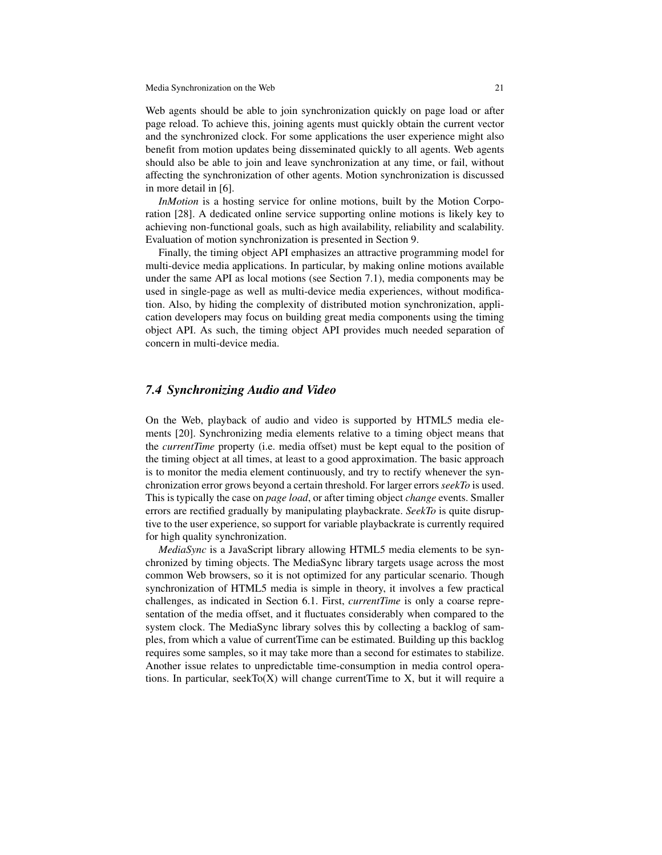Web agents should be able to join synchronization quickly on page load or after page reload. To achieve this, joining agents must quickly obtain the current vector and the synchronized clock. For some applications the user experience might also benefit from motion updates being disseminated quickly to all agents. Web agents should also be able to join and leave synchronization at any time, or fail, without affecting the synchronization of other agents. Motion synchronization is discussed in more detail in [6].

*InMotion* is a hosting service for online motions, built by the Motion Corporation [28]. A dedicated online service supporting online motions is likely key to achieving non-functional goals, such as high availability, reliability and scalability. Evaluation of motion synchronization is presented in Section 9.

Finally, the timing object API emphasizes an attractive programming model for multi-device media applications. In particular, by making online motions available under the same API as local motions (see Section 7.1), media components may be used in single-page as well as multi-device media experiences, without modification. Also, by hiding the complexity of distributed motion synchronization, application developers may focus on building great media components using the timing object API. As such, the timing object API provides much needed separation of concern in multi-device media.

#### *7.4 Synchronizing Audio and Video*

On the Web, playback of audio and video is supported by HTML5 media elements [20]. Synchronizing media elements relative to a timing object means that the *currentTime* property (i.e. media offset) must be kept equal to the position of the timing object at all times, at least to a good approximation. The basic approach is to monitor the media element continuously, and try to rectify whenever the synchronization error grows beyond a certain threshold. For larger errors *seekTo* is used. This is typically the case on *page load*, or after timing object *change* events. Smaller errors are rectified gradually by manipulating playbackrate. *SeekTo* is quite disruptive to the user experience, so support for variable playbackrate is currently required for high quality synchronization.

*MediaSync* is a JavaScript library allowing HTML5 media elements to be synchronized by timing objects. The MediaSync library targets usage across the most common Web browsers, so it is not optimized for any particular scenario. Though synchronization of HTML5 media is simple in theory, it involves a few practical challenges, as indicated in Section 6.1. First, *currentTime* is only a coarse representation of the media offset, and it fluctuates considerably when compared to the system clock. The MediaSync library solves this by collecting a backlog of samples, from which a value of currentTime can be estimated. Building up this backlog requires some samples, so it may take more than a second for estimates to stabilize. Another issue relates to unpredictable time-consumption in media control operations. In particular, seekTo $(X)$  will change currentTime to X, but it will require a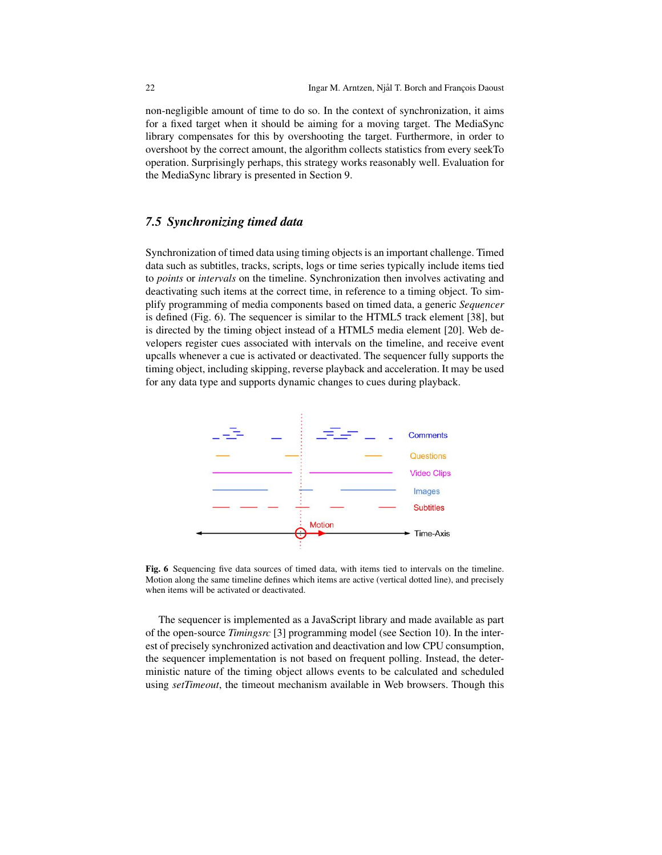non-negligible amount of time to do so. In the context of synchronization, it aims for a fixed target when it should be aiming for a moving target. The MediaSync library compensates for this by overshooting the target. Furthermore, in order to overshoot by the correct amount, the algorithm collects statistics from every seekTo operation. Surprisingly perhaps, this strategy works reasonably well. Evaluation for the MediaSync library is presented in Section 9.

# *7.5 Synchronizing timed data*

Synchronization of timed data using timing objects is an important challenge. Timed data such as subtitles, tracks, scripts, logs or time series typically include items tied to *points* or *intervals* on the timeline. Synchronization then involves activating and deactivating such items at the correct time, in reference to a timing object. To simplify programming of media components based on timed data, a generic *Sequencer* is defined (Fig. 6). The sequencer is similar to the HTML5 track element [38], but is directed by the timing object instead of a HTML5 media element [20]. Web developers register cues associated with intervals on the timeline, and receive event upcalls whenever a cue is activated or deactivated. The sequencer fully supports the timing object, including skipping, reverse playback and acceleration. It may be used for any data type and supports dynamic changes to cues during playback.



Fig. 6 Sequencing five data sources of timed data, with items tied to intervals on the timeline. Motion along the same timeline defines which items are active (vertical dotted line), and precisely when items will be activated or deactivated.

The sequencer is implemented as a JavaScript library and made available as part of the open-source *Timingsrc* [3] programming model (see Section 10). In the interest of precisely synchronized activation and deactivation and low CPU consumption, the sequencer implementation is not based on frequent polling. Instead, the deterministic nature of the timing object allows events to be calculated and scheduled using *setTimeout*, the timeout mechanism available in Web browsers. Though this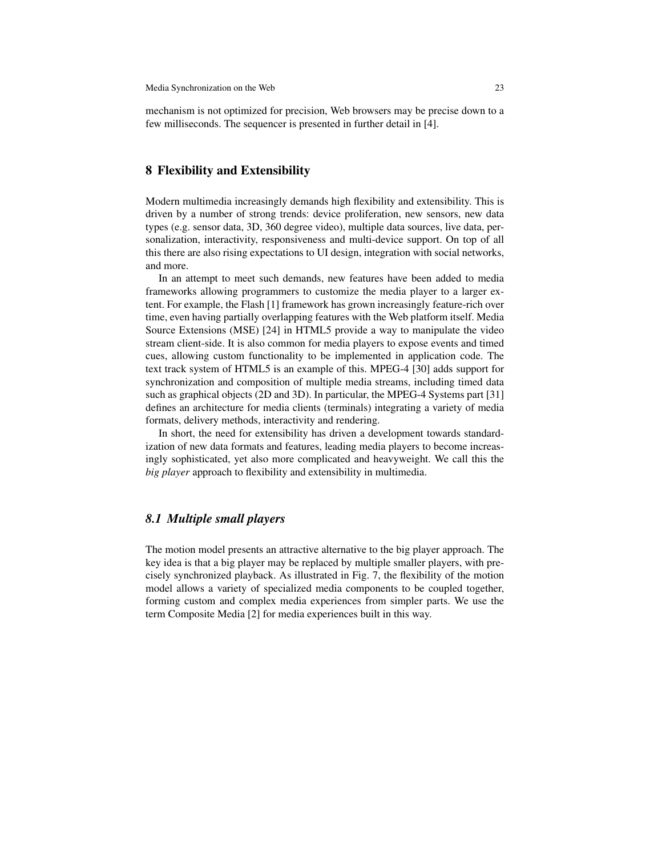mechanism is not optimized for precision, Web browsers may be precise down to a few milliseconds. The sequencer is presented in further detail in [4].

### 8 Flexibility and Extensibility

Modern multimedia increasingly demands high flexibility and extensibility. This is driven by a number of strong trends: device proliferation, new sensors, new data types (e.g. sensor data, 3D, 360 degree video), multiple data sources, live data, personalization, interactivity, responsiveness and multi-device support. On top of all this there are also rising expectations to UI design, integration with social networks, and more.

In an attempt to meet such demands, new features have been added to media frameworks allowing programmers to customize the media player to a larger extent. For example, the Flash [1] framework has grown increasingly feature-rich over time, even having partially overlapping features with the Web platform itself. Media Source Extensions (MSE) [24] in HTML5 provide a way to manipulate the video stream client-side. It is also common for media players to expose events and timed cues, allowing custom functionality to be implemented in application code. The text track system of HTML5 is an example of this. MPEG-4 [30] adds support for synchronization and composition of multiple media streams, including timed data such as graphical objects (2D and 3D). In particular, the MPEG-4 Systems part [31] defines an architecture for media clients (terminals) integrating a variety of media formats, delivery methods, interactivity and rendering.

In short, the need for extensibility has driven a development towards standardization of new data formats and features, leading media players to become increasingly sophisticated, yet also more complicated and heavyweight. We call this the *big player* approach to flexibility and extensibility in multimedia.

#### *8.1 Multiple small players*

The motion model presents an attractive alternative to the big player approach. The key idea is that a big player may be replaced by multiple smaller players, with precisely synchronized playback. As illustrated in Fig. 7, the flexibility of the motion model allows a variety of specialized media components to be coupled together, forming custom and complex media experiences from simpler parts. We use the term Composite Media [2] for media experiences built in this way.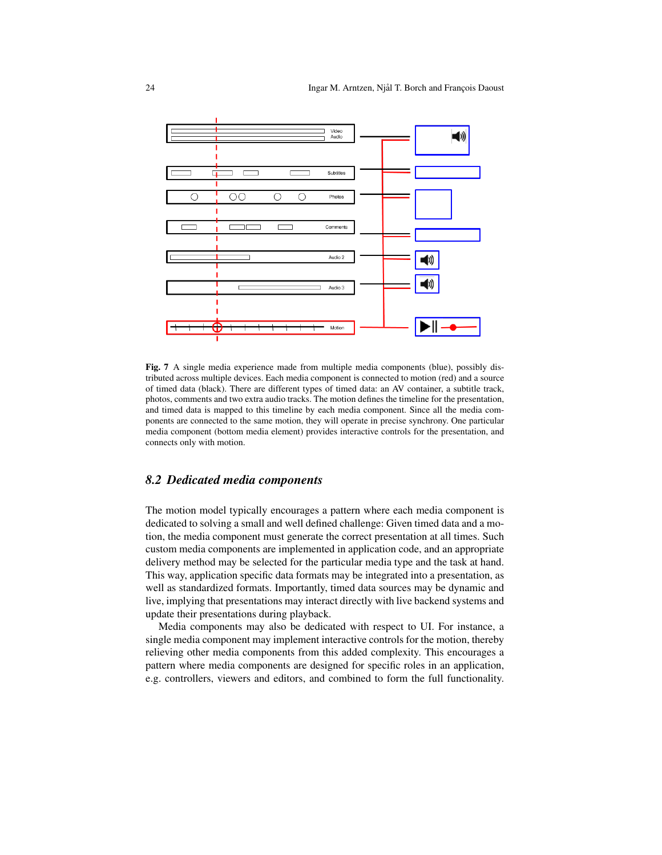

Fig. 7 A single media experience made from multiple media components (blue), possibly distributed across multiple devices. Each media component is connected to motion (red) and a source of timed data (black). There are different types of timed data: an AV container, a subtitle track, photos, comments and two extra audio tracks. The motion defines the timeline for the presentation, and timed data is mapped to this timeline by each media component. Since all the media components are connected to the same motion, they will operate in precise synchrony. One particular media component (bottom media element) provides interactive controls for the presentation, and connects only with motion.

# *8.2 Dedicated media components*

The motion model typically encourages a pattern where each media component is dedicated to solving a small and well defined challenge: Given timed data and a motion, the media component must generate the correct presentation at all times. Such custom media components are implemented in application code, and an appropriate delivery method may be selected for the particular media type and the task at hand. This way, application specific data formats may be integrated into a presentation, as well as standardized formats. Importantly, timed data sources may be dynamic and live, implying that presentations may interact directly with live backend systems and update their presentations during playback.

Media components may also be dedicated with respect to UI. For instance, a single media component may implement interactive controls for the motion, thereby relieving other media components from this added complexity. This encourages a pattern where media components are designed for specific roles in an application, e.g. controllers, viewers and editors, and combined to form the full functionality.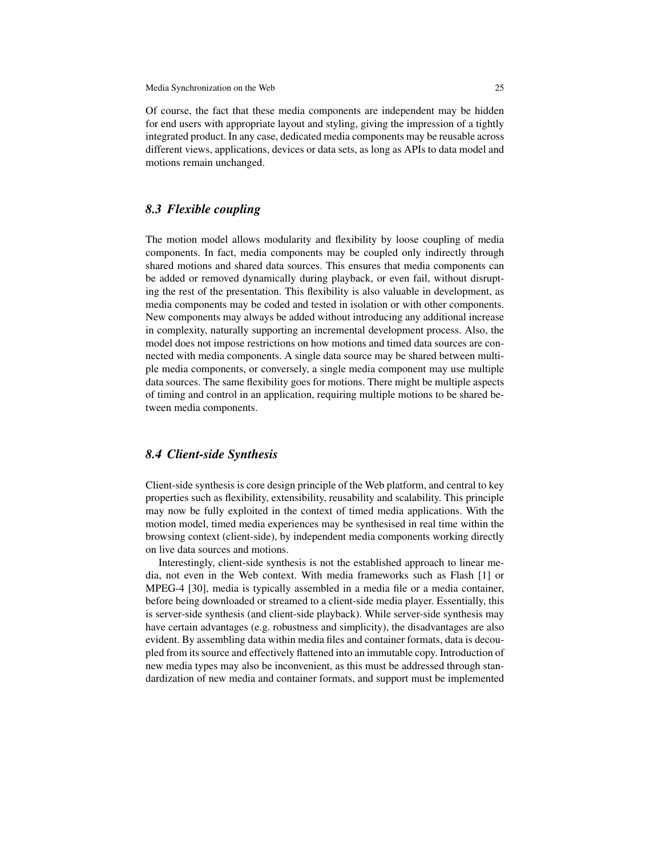Of course, the fact that these media components are independent may be hidden for end users with appropriate layout and styling, giving the impression of a tightly integrated product. In any case, dedicated media components may be reusable across different views, applications, devices or data sets, as long as APIs to data model and motions remain unchanged.

# *8.3 Flexible coupling*

The motion model allows modularity and flexibility by loose coupling of media components. In fact, media components may be coupled only indirectly through shared motions and shared data sources. This ensures that media components can be added or removed dynamically during playback, or even fail, without disrupting the rest of the presentation. This flexibility is also valuable in development, as media components may be coded and tested in isolation or with other components. New components may always be added without introducing any additional increase in complexity, naturally supporting an incremental development process. Also, the model does not impose restrictions on how motions and timed data sources are connected with media components. A single data source may be shared between multiple media components, or conversely, a single media component may use multiple data sources. The same flexibility goes for motions. There might be multiple aspects of timing and control in an application, requiring multiple motions to be shared between media components.

# *8.4 Client-side Synthesis*

Client-side synthesis is core design principle of the Web platform, and central to key properties such as flexibility, extensibility, reusability and scalability. This principle may now be fully exploited in the context of timed media applications. With the motion model, timed media experiences may be synthesised in real time within the browsing context (client-side), by independent media components working directly on live data sources and motions.

Interestingly, client-side synthesis is not the established approach to linear media, not even in the Web context. With media frameworks such as Flash [1] or MPEG-4 [30], media is typically assembled in a media file or a media container, before being downloaded or streamed to a client-side media player. Essentially, this is server-side synthesis (and client-side playback). While server-side synthesis may have certain advantages (e.g. robustness and simplicity), the disadvantages are also evident. By assembling data within media files and container formats, data is decoupled from its source and effectively flattened into an immutable copy. Introduction of new media types may also be inconvenient, as this must be addressed through standardization of new media and container formats, and support must be implemented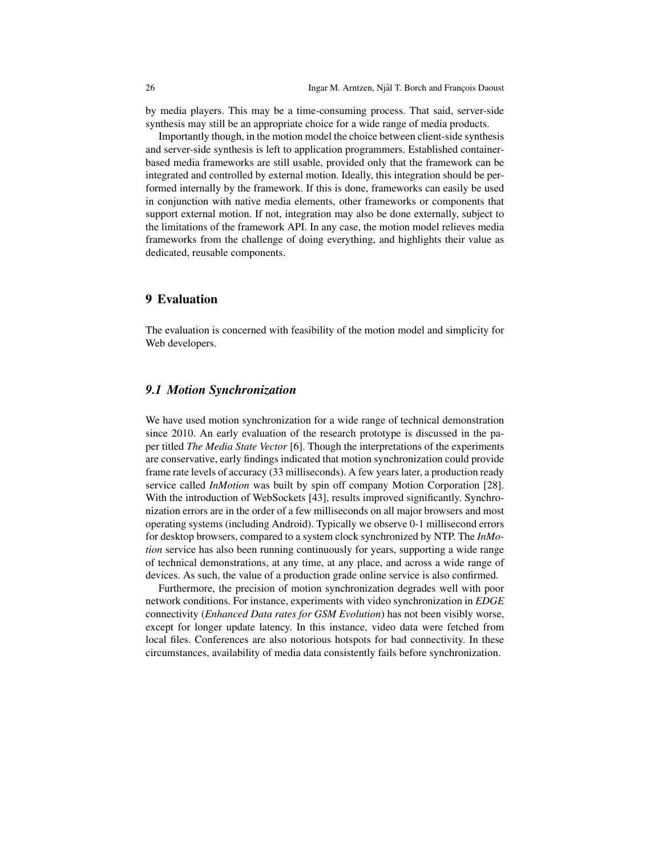by media players. This may be a time-consuming process. That said, server-side synthesis may still be an appropriate choice for a wide range of media products.

Importantly though, in the motion model the choice between client-side synthesis and server-side synthesis is left to application programmers. Established containerbased media frameworks are still usable, provided only that the framework can be integrated and controlled by external motion. Ideally, this integration should be performed internally by the framework. If this is done, frameworks can easily be used in conjunction with native media elements, other frameworks or components that support external motion. If not, integration may also be done externally, subject to the limitations of the framework API. In any case, the motion model relieves media frameworks from the challenge of doing everything, and highlights their value as dedicated, reusable components.

### 9 Evaluation

The evaluation is concerned with feasibility of the motion model and simplicity for Web developers.

#### *9.1 Motion Synchronization*

We have used motion synchronization for a wide range of technical demonstration since 2010. An early evaluation of the research prototype is discussed in the paper titled *The Media State Vector* [6]. Though the interpretations of the experiments are conservative, early findings indicated that motion synchronization could provide frame rate levels of accuracy (33 milliseconds). A few years later, a production ready service called *InMotion* was built by spin off company Motion Corporation [28]. With the introduction of WebSockets [43], results improved significantly. Synchronization errors are in the order of a few milliseconds on all major browsers and most operating systems (including Android). Typically we observe 0-1 millisecond errors for desktop browsers, compared to a system clock synchronized by NTP. The *InMotion* service has also been running continuously for years, supporting a wide range of technical demonstrations, at any time, at any place, and across a wide range of devices. As such, the value of a production grade online service is also confirmed.

Furthermore, the precision of motion synchronization degrades well with poor network conditions. For instance, experiments with video synchronization in *EDGE* connectivity (*Enhanced Data rates for GSM Evolution*) has not been visibly worse, except for longer update latency. In this instance, video data were fetched from local files. Conferences are also notorious hotspots for bad connectivity. In these circumstances, availability of media data consistently fails before synchronization.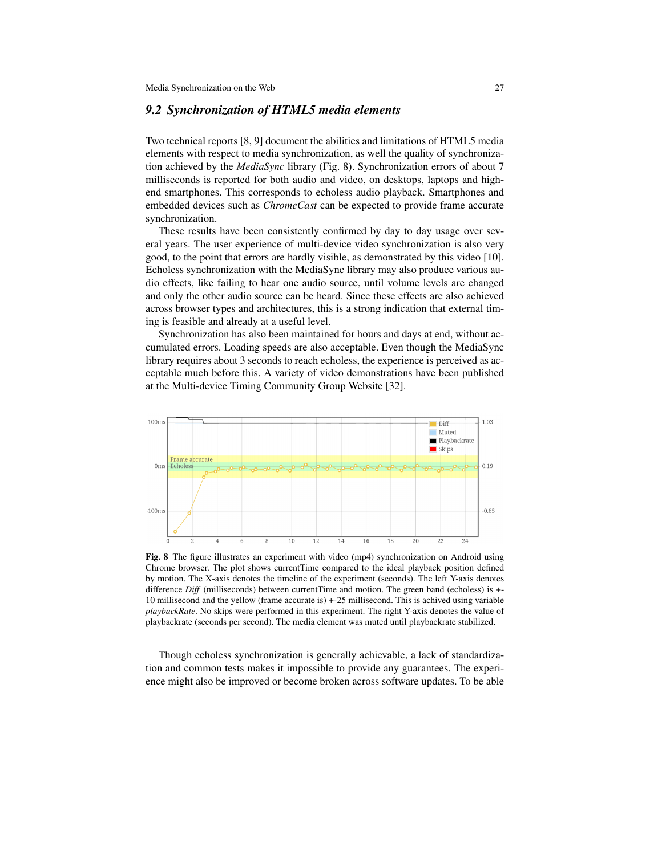#### *9.2 Synchronization of HTML5 media elements*

Two technical reports [8, 9] document the abilities and limitations of HTML5 media elements with respect to media synchronization, as well the quality of synchronization achieved by the *MediaSync* library (Fig. 8). Synchronization errors of about 7 milliseconds is reported for both audio and video, on desktops, laptops and highend smartphones. This corresponds to echoless audio playback. Smartphones and embedded devices such as *ChromeCast* can be expected to provide frame accurate synchronization.

These results have been consistently confirmed by day to day usage over several years. The user experience of multi-device video synchronization is also very good, to the point that errors are hardly visible, as demonstrated by this video [10]. Echoless synchronization with the MediaSync library may also produce various audio effects, like failing to hear one audio source, until volume levels are changed and only the other audio source can be heard. Since these effects are also achieved across browser types and architectures, this is a strong indication that external timing is feasible and already at a useful level.

Synchronization has also been maintained for hours and days at end, without accumulated errors. Loading speeds are also acceptable. Even though the MediaSync library requires about 3 seconds to reach echoless, the experience is perceived as acceptable much before this. A variety of video demonstrations have been published at the Multi-device Timing Community Group Website [32].



Fig. 8 The figure illustrates an experiment with video (mp4) synchronization on Android using Chrome browser. The plot shows currentTime compared to the ideal playback position defined by motion. The X-axis denotes the timeline of the experiment (seconds). The left Y-axis denotes difference *Diff* (milliseconds) between currentTime and motion. The green band (echoless) is +- 10 millisecond and the yellow (frame accurate is) +-25 millisecond. This is achived using variable *playbackRate*. No skips were performed in this experiment. The right Y-axis denotes the value of playbackrate (seconds per second). The media element was muted until playbackrate stabilized.

Though echoless synchronization is generally achievable, a lack of standardization and common tests makes it impossible to provide any guarantees. The experience might also be improved or become broken across software updates. To be able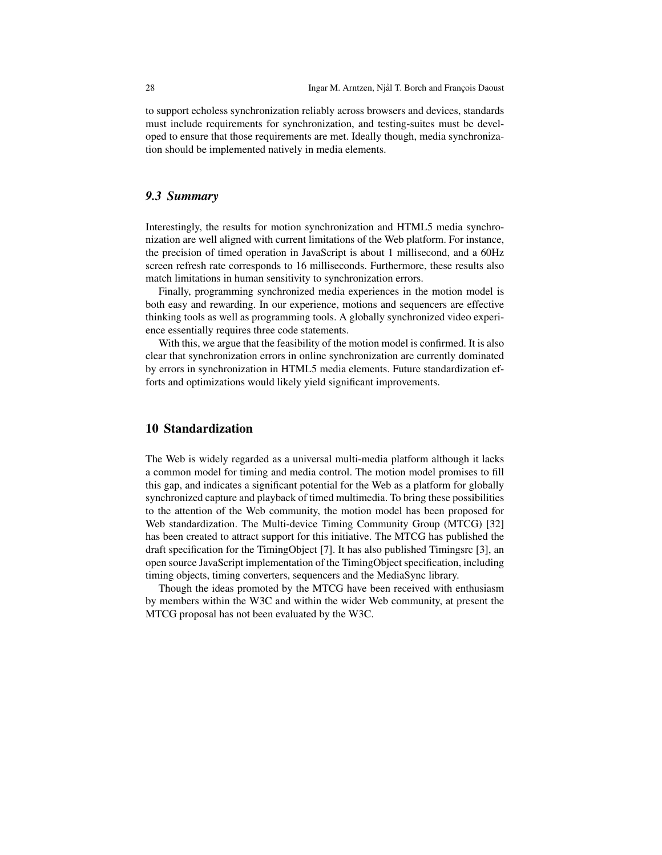to support echoless synchronization reliably across browsers and devices, standards must include requirements for synchronization, and testing-suites must be developed to ensure that those requirements are met. Ideally though, media synchronization should be implemented natively in media elements.

### *9.3 Summary*

Interestingly, the results for motion synchronization and HTML5 media synchronization are well aligned with current limitations of the Web platform. For instance, the precision of timed operation in JavaScript is about 1 millisecond, and a 60Hz screen refresh rate corresponds to 16 milliseconds. Furthermore, these results also match limitations in human sensitivity to synchronization errors.

Finally, programming synchronized media experiences in the motion model is both easy and rewarding. In our experience, motions and sequencers are effective thinking tools as well as programming tools. A globally synchronized video experience essentially requires three code statements.

With this, we argue that the feasibility of the motion model is confirmed. It is also clear that synchronization errors in online synchronization are currently dominated by errors in synchronization in HTML5 media elements. Future standardization efforts and optimizations would likely yield significant improvements.

# 10 Standardization

The Web is widely regarded as a universal multi-media platform although it lacks a common model for timing and media control. The motion model promises to fill this gap, and indicates a significant potential for the Web as a platform for globally synchronized capture and playback of timed multimedia. To bring these possibilities to the attention of the Web community, the motion model has been proposed for Web standardization. The Multi-device Timing Community Group (MTCG) [32] has been created to attract support for this initiative. The MTCG has published the draft specification for the TimingObject [7]. It has also published Timingsrc [3], an open source JavaScript implementation of the TimingObject specification, including timing objects, timing converters, sequencers and the MediaSync library.

Though the ideas promoted by the MTCG have been received with enthusiasm by members within the W3C and within the wider Web community, at present the MTCG proposal has not been evaluated by the W3C.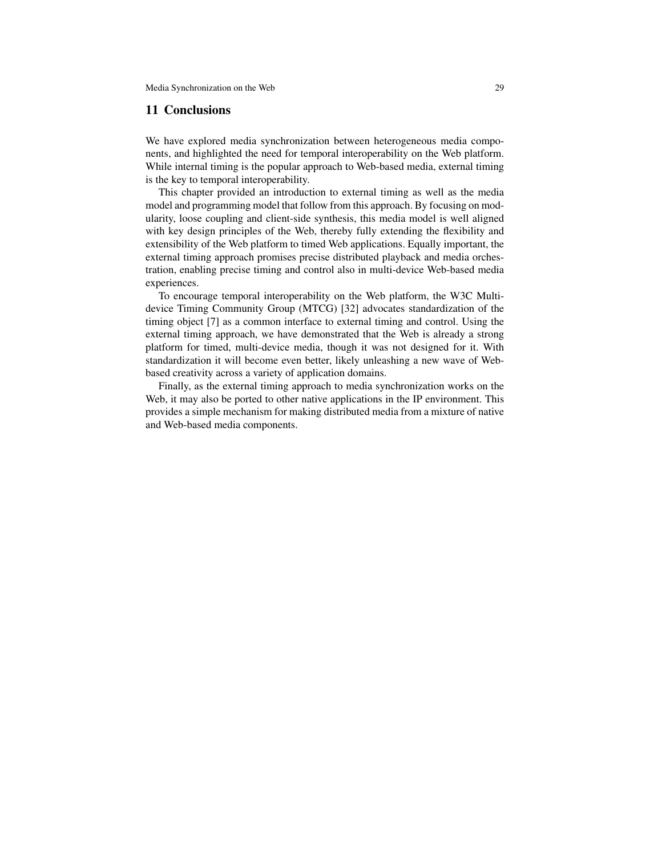# 11 Conclusions

We have explored media synchronization between heterogeneous media components, and highlighted the need for temporal interoperability on the Web platform. While internal timing is the popular approach to Web-based media, external timing is the key to temporal interoperability.

This chapter provided an introduction to external timing as well as the media model and programming model that follow from this approach. By focusing on modularity, loose coupling and client-side synthesis, this media model is well aligned with key design principles of the Web, thereby fully extending the flexibility and extensibility of the Web platform to timed Web applications. Equally important, the external timing approach promises precise distributed playback and media orchestration, enabling precise timing and control also in multi-device Web-based media experiences.

To encourage temporal interoperability on the Web platform, the W3C Multidevice Timing Community Group (MTCG) [32] advocates standardization of the timing object [7] as a common interface to external timing and control. Using the external timing approach, we have demonstrated that the Web is already a strong platform for timed, multi-device media, though it was not designed for it. With standardization it will become even better, likely unleashing a new wave of Webbased creativity across a variety of application domains.

Finally, as the external timing approach to media synchronization works on the Web, it may also be ported to other native applications in the IP environment. This provides a simple mechanism for making distributed media from a mixture of native and Web-based media components.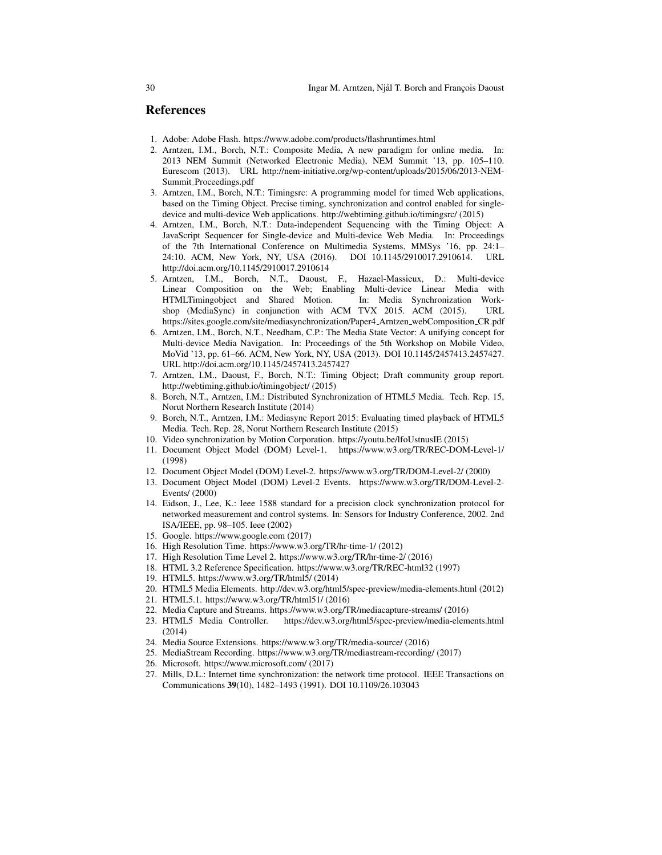#### References

- 1. Adobe: Adobe Flash. https://www.adobe.com/products/flashruntimes.html
- 2. Arntzen, I.M., Borch, N.T.: Composite Media, A new paradigm for online media. In: 2013 NEM Summit (Networked Electronic Media), NEM Summit '13, pp. 105–110. Eurescom (2013). URL http://nem-initiative.org/wp-content/uploads/2015/06/2013-NEM-Summit Proceedings.pdf
- 3. Arntzen, I.M., Borch, N.T.: Timingsrc: A programming model for timed Web applications, based on the Timing Object. Precise timing, synchronization and control enabled for singledevice and multi-device Web applications. http://webtiming.github.io/timingsrc/ (2015)
- 4. Arntzen, I.M., Borch, N.T.: Data-independent Sequencing with the Timing Object: A JavaScript Sequencer for Single-device and Multi-device Web Media. In: Proceedings of the 7th International Conference on Multimedia Systems, MMSys '16, pp. 24:1– 24:10. ACM, New York, NY, USA (2016). DOI 10.1145/2910017.2910614. URL http://doi.acm.org/10.1145/2910017.2910614
- 5. Arntzen, I.M., Borch, N.T., Daoust, F., Hazael-Massieux, D.: Multi-device Linear Composition on the Web; Enabling Multi-device Linear Media with HTMLTimingobject and Shared Motion. In: Media Synchronization Workshop (MediaSync) in conjunction with ACM TVX 2015. ACM (2015). URL https://sites.google.com/site/mediasynchronization/Paper4 Arntzen webComposition CR.pdf
- 6. Arntzen, I.M., Borch, N.T., Needham, C.P.: The Media State Vector: A unifying concept for Multi-device Media Navigation. In: Proceedings of the 5th Workshop on Mobile Video, MoVid '13, pp. 61–66. ACM, New York, NY, USA (2013). DOI 10.1145/2457413.2457427. URL http://doi.acm.org/10.1145/2457413.2457427
- 7. Arntzen, I.M., Daoust, F., Borch, N.T.: Timing Object; Draft community group report. http://webtiming.github.io/timingobject/ (2015)
- 8. Borch, N.T., Arntzen, I.M.: Distributed Synchronization of HTML5 Media. Tech. Rep. 15, Norut Northern Research Institute (2014)
- 9. Borch, N.T., Arntzen, I.M.: Mediasync Report 2015: Evaluating timed playback of HTML5 Media. Tech. Rep. 28, Norut Northern Research Institute (2015)
- 10. Video synchronization by Motion Corporation. https://youtu.be/lfoUstnusIE (2015)
- 11. Document Object Model (DOM) Level-1. https://www.w3.org/TR/REC-DOM-Level-1/ (1998)
- 12. Document Object Model (DOM) Level-2. https://www.w3.org/TR/DOM-Level-2/ (2000)
- 13. Document Object Model (DOM) Level-2 Events. https://www.w3.org/TR/DOM-Level-2- Events/ (2000)
- 14. Eidson, J., Lee, K.: Ieee 1588 standard for a precision clock synchronization protocol for networked measurement and control systems. In: Sensors for Industry Conference, 2002. 2nd ISA/IEEE, pp. 98–105. Ieee (2002)
- 15. Google. https://www.google.com (2017)
- 16. High Resolution Time. https://www.w3.org/TR/hr-time-1/ (2012)
- 17. High Resolution Time Level 2. https://www.w3.org/TR/hr-time-2/ (2016)
- 18. HTML 3.2 Reference Specification. https://www.w3.org/TR/REC-html32 (1997)
- 19. HTML5. https://www.w3.org/TR/html5/ (2014)
- 20. HTML5 Media Elements. http://dev.w3.org/html5/spec-preview/media-elements.html (2012)
- 21. HTML5.1. https://www.w3.org/TR/html51/ (2016)
- 22. Media Capture and Streams. https://www.w3.org/TR/mediacapture-streams/ (2016)
- 23. HTML5 Media Controller. https://dev.w3.org/html5/spec-preview/media-elements.html (2014)
- 24. Media Source Extensions. https://www.w3.org/TR/media-source/ (2016)
- 25. MediaStream Recording. https://www.w3.org/TR/mediastream-recording/ (2017)
- 26. Microsoft. https://www.microsoft.com/ (2017)
- 27. Mills, D.L.: Internet time synchronization: the network time protocol. IEEE Transactions on Communications 39(10), 1482–1493 (1991). DOI 10.1109/26.103043